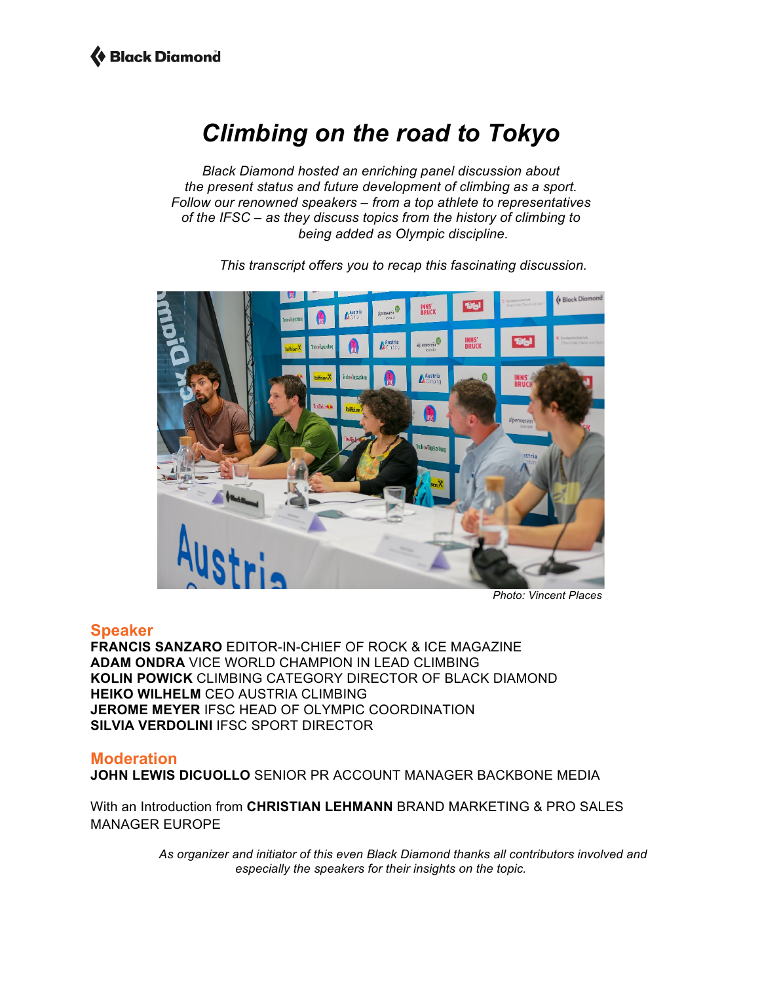### *Climbing on the road to Tokyo*

*Black Diamond hosted an enriching panel discussion about the present status and future development of climbing as a sport. Follow our renowned speakers – from a top athlete to representatives of the IFSC – as they discuss topics from the history of climbing to being added as Olympic discipline.*



*This transcript offers you to recap this fascinating discussion.* 

*Photo: Vincent Places*

### **Speaker**

**FRANCIS SANZARO** EDITOR-IN-CHIEF OF ROCK & ICE MAGAZINE **ADAM ONDRA** VICE WORLD CHAMPION IN LEAD CLIMBING **KOLIN POWICK** CLIMBING CATEGORY DIRECTOR OF BLACK DIAMOND **HEIKO WILHELM** CEO AUSTRIA CLIMBING **JEROME MEYER** IFSC HEAD OF OLYMPIC COORDINATION **SILVIA VERDOLINI IFSC SPORT DIRECTOR** 

### **Moderation**

**JOHN LEWIS DICUOLLO** SENIOR PR ACCOUNT MANAGER BACKBONE MEDIA

With an Introduction from **CHRISTIAN LEHMANN** BRAND MARKETING & PRO SALES MANAGER EUROPE

> *As organizer and initiator of this even Black Diamond thanks all contributors involved and especially the speakers for their insights on the topic.*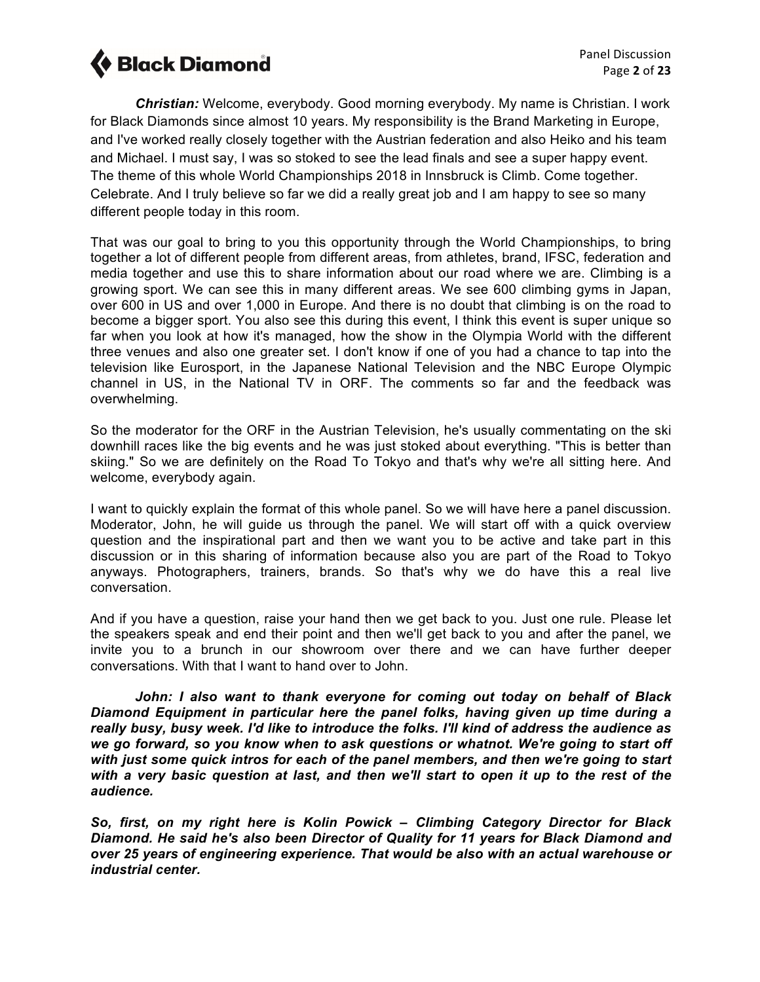*Christian:* Welcome, everybody. Good morning everybody. My name is Christian. I work for Black Diamonds since almost 10 years. My responsibility is the Brand Marketing in Europe, and I've worked really closely together with the Austrian federation and also Heiko and his team and Michael. I must say, I was so stoked to see the lead finals and see a super happy event. The theme of this whole World Championships 2018 in Innsbruck is Climb. Come together. Celebrate. And I truly believe so far we did a really great job and I am happy to see so many different people today in this room.

That was our goal to bring to you this opportunity through the World Championships, to bring together a lot of different people from different areas, from athletes, brand, IFSC, federation and media together and use this to share information about our road where we are. Climbing is a growing sport. We can see this in many different areas. We see 600 climbing gyms in Japan, over 600 in US and over 1,000 in Europe. And there is no doubt that climbing is on the road to become a bigger sport. You also see this during this event, I think this event is super unique so far when you look at how it's managed, how the show in the Olympia World with the different three venues and also one greater set. I don't know if one of you had a chance to tap into the television like Eurosport, in the Japanese National Television and the NBC Europe Olympic channel in US, in the National TV in ORF. The comments so far and the feedback was overwhelming.

So the moderator for the ORF in the Austrian Television, he's usually commentating on the ski downhill races like the big events and he was just stoked about everything. "This is better than skiing." So we are definitely on the Road To Tokyo and that's why we're all sitting here. And welcome, everybody again.

I want to quickly explain the format of this whole panel. So we will have here a panel discussion. Moderator, John, he will guide us through the panel. We will start off with a quick overview question and the inspirational part and then we want you to be active and take part in this discussion or in this sharing of information because also you are part of the Road to Tokyo anyways. Photographers, trainers, brands. So that's why we do have this a real live conversation.

And if you have a question, raise your hand then we get back to you. Just one rule. Please let the speakers speak and end their point and then we'll get back to you and after the panel, we invite you to a brunch in our showroom over there and we can have further deeper conversations. With that I want to hand over to John.

*John: I also want to thank everyone for coming out today on behalf of Black Diamond Equipment in particular here the panel folks, having given up time during a really busy, busy week. I'd like to introduce the folks. I'll kind of address the audience as we go forward, so you know when to ask questions or whatnot. We're going to start off with just some quick intros for each of the panel members, and then we're going to start with a very basic question at last, and then we'll start to open it up to the rest of the audience.* 

*So, first, on my right here is Kolin Powick – Climbing Category Director for Black Diamond. He said he's also been Director of Quality for 11 years for Black Diamond and over 25 years of engineering experience. That would be also with an actual warehouse or industrial center.*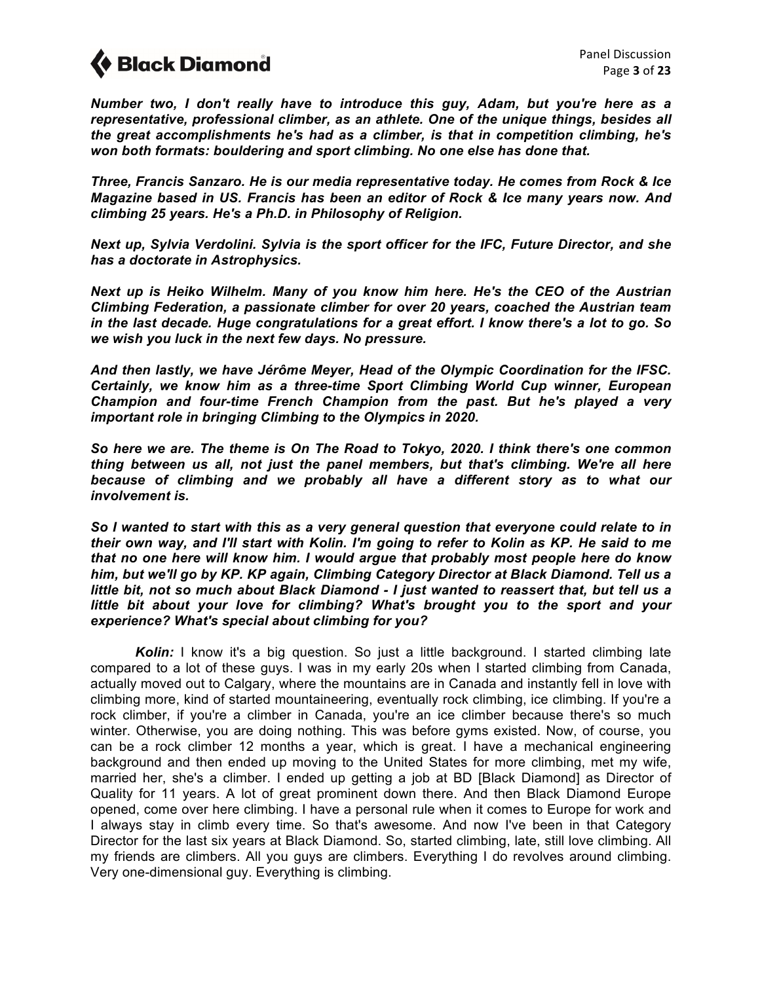*Number two, I don't really have to introduce this guy, Adam, but you're here as a representative, professional climber, as an athlete. One of the unique things, besides all the great accomplishments he's had as a climber, is that in competition climbing, he's won both formats: bouldering and sport climbing. No one else has done that.* 

*Three, Francis Sanzaro. He is our media representative today. He comes from Rock & Ice Magazine based in US. Francis has been an editor of Rock & Ice many years now. And climbing 25 years. He's a Ph.D. in Philosophy of Religion.* 

*Next up, Sylvia Verdolini. Sylvia is the sport officer for the IFC, Future Director, and she has a doctorate in Astrophysics.*

*Next up is Heiko Wilhelm. Many of you know him here. He's the CEO of the Austrian Climbing Federation, a passionate climber for over 20 years, coached the Austrian team in the last decade. Huge congratulations for a great effort. I know there's a lot to go. So we wish you luck in the next few days. No pressure.* 

*And then lastly, we have Jérôme Meyer, Head of the Olympic Coordination for the IFSC. Certainly, we know him as a three-time Sport Climbing World Cup winner, European Champion and four-time French Champion from the past. But he's played a very important role in bringing Climbing to the Olympics in 2020.* 

*So here we are. The theme is On The Road to Tokyo, 2020. I think there's one common thing between us all, not just the panel members, but that's climbing. We're all here because of climbing and we probably all have a different story as to what our involvement is.* 

*So I wanted to start with this as a very general question that everyone could relate to in their own way, and I'll start with Kolin. I'm going to refer to Kolin as KP. He said to me that no one here will know him. I would argue that probably most people here do know him, but we'll go by KP. KP again, Climbing Category Director at Black Diamond. Tell us a little bit, not so much about Black Diamond - I just wanted to reassert that, but tell us a little bit about your love for climbing? What's brought you to the sport and your experience? What's special about climbing for you?*

**Kolin:** I know it's a big question. So just a little background. I started climbing late compared to a lot of these guys. I was in my early 20s when I started climbing from Canada, actually moved out to Calgary, where the mountains are in Canada and instantly fell in love with climbing more, kind of started mountaineering, eventually rock climbing, ice climbing. If you're a rock climber, if you're a climber in Canada, you're an ice climber because there's so much winter. Otherwise, you are doing nothing. This was before gyms existed. Now, of course, you can be a rock climber 12 months a year, which is great. I have a mechanical engineering background and then ended up moving to the United States for more climbing, met my wife, married her, she's a climber. I ended up getting a job at BD [Black Diamond] as Director of Quality for 11 years. A lot of great prominent down there. And then Black Diamond Europe opened, come over here climbing. I have a personal rule when it comes to Europe for work and I always stay in climb every time. So that's awesome. And now I've been in that Category Director for the last six years at Black Diamond. So, started climbing, late, still love climbing. All my friends are climbers. All you guys are climbers. Everything I do revolves around climbing. Very one-dimensional guy. Everything is climbing.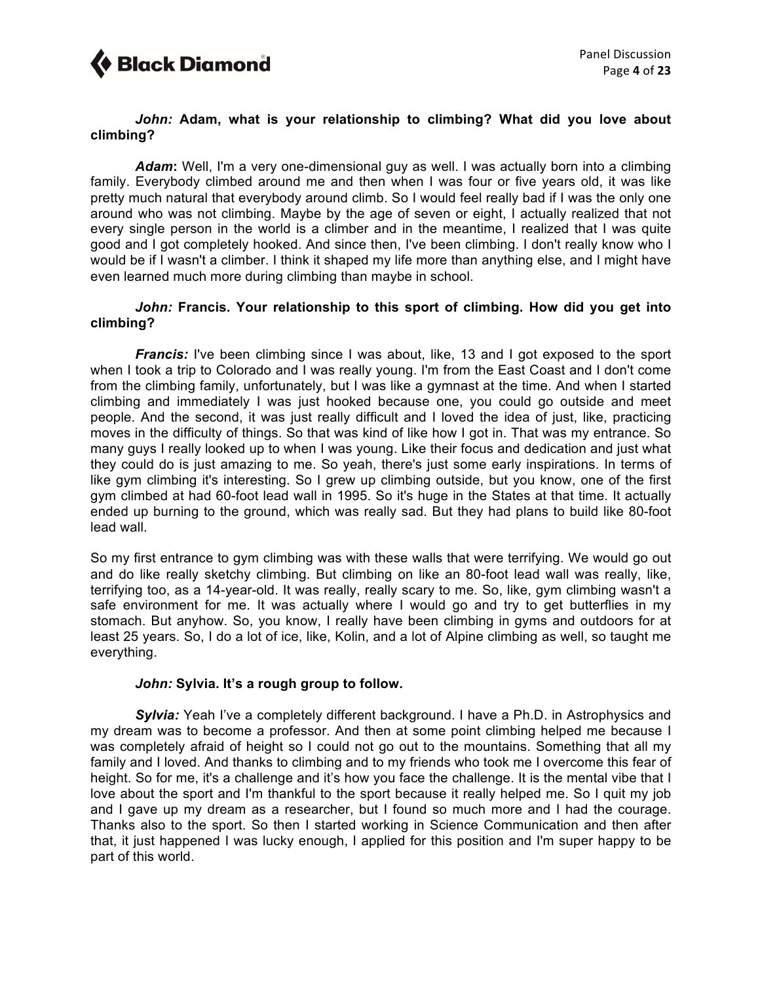

### *John:* **Adam, what is your relationship to climbing? What did you love about climbing?**

*Adam***:** Well, I'm a very one-dimensional guy as well. I was actually born into a climbing family. Everybody climbed around me and then when I was four or five years old, it was like pretty much natural that everybody around climb. So I would feel really bad if I was the only one around who was not climbing. Maybe by the age of seven or eight, I actually realized that not every single person in the world is a climber and in the meantime, I realized that I was quite good and I got completely hooked. And since then, I've been climbing. I don't really know who I would be if I wasn't a climber. I think it shaped my life more than anything else, and I might have even learned much more during climbing than maybe in school.

### *John:* **Francis. Your relationship to this sport of climbing. How did you get into climbing?**

*Francis:* I've been climbing since I was about, like, 13 and I got exposed to the sport when I took a trip to Colorado and I was really young. I'm from the East Coast and I don't come from the climbing family, unfortunately, but I was like a gymnast at the time. And when I started climbing and immediately I was just hooked because one, you could go outside and meet people. And the second, it was just really difficult and I loved the idea of just, like, practicing moves in the difficulty of things. So that was kind of like how I got in. That was my entrance. So many guys I really looked up to when I was young. Like their focus and dedication and just what they could do is just amazing to me. So yeah, there's just some early inspirations. In terms of like gym climbing it's interesting. So I grew up climbing outside, but you know, one of the first gym climbed at had 60-foot lead wall in 1995. So it's huge in the States at that time. It actually ended up burning to the ground, which was really sad. But they had plans to build like 80-foot lead wall.

So my first entrance to gym climbing was with these walls that were terrifying. We would go out and do like really sketchy climbing. But climbing on like an 80-foot lead wall was really, like, terrifying too, as a 14-year-old. It was really, really scary to me. So, like, gym climbing wasn't a safe environment for me. It was actually where I would go and try to get butterflies in my stomach. But anyhow. So, you know, I really have been climbing in gyms and outdoors for at least 25 years. So, I do a lot of ice, like, Kolin, and a lot of Alpine climbing as well, so taught me everything.

### *John:* **Sylvia. It's a rough group to follow.**

**Sylvia:** Yeah I've a completely different background. I have a Ph.D. in Astrophysics and my dream was to become a professor. And then at some point climbing helped me because I was completely afraid of height so I could not go out to the mountains. Something that all my family and I loved. And thanks to climbing and to my friends who took me I overcome this fear of height. So for me, it's a challenge and it's how you face the challenge. It is the mental vibe that I love about the sport and I'm thankful to the sport because it really helped me. So I quit my job and I gave up my dream as a researcher, but I found so much more and I had the courage. Thanks also to the sport. So then I started working in Science Communication and then after that, it just happened I was lucky enough, I applied for this position and I'm super happy to be part of this world.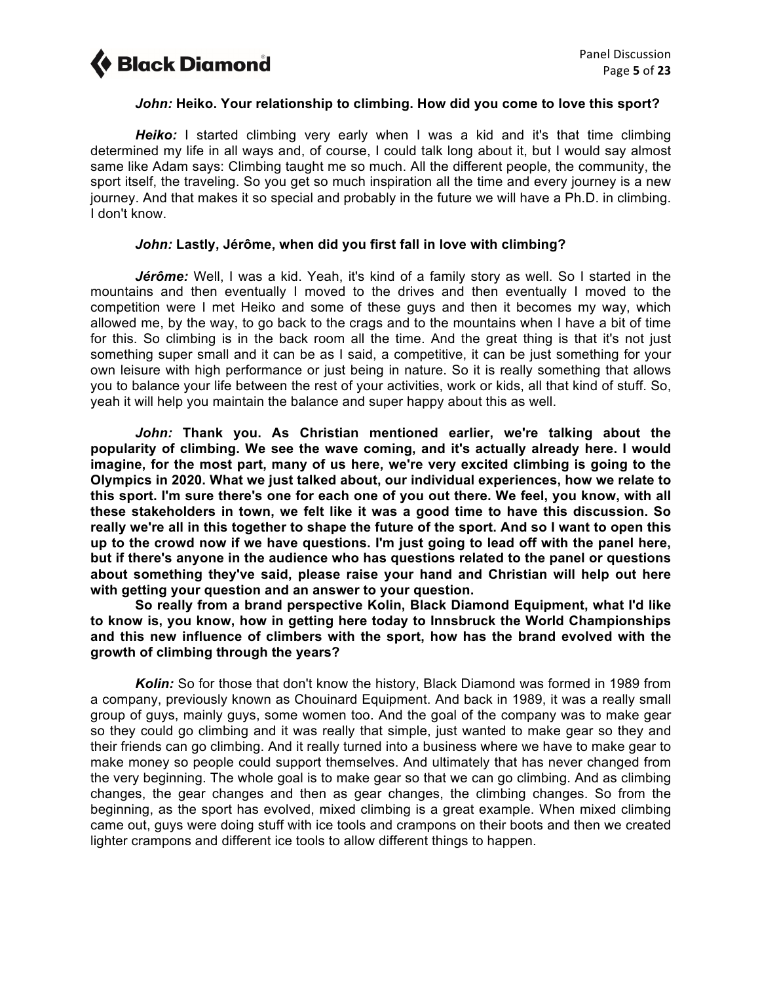

### *John:* **Heiko. Your relationship to climbing. How did you come to love this sport?**

*Heiko:* I started climbing very early when I was a kid and it's that time climbing determined my life in all ways and, of course, I could talk long about it, but I would say almost same like Adam says: Climbing taught me so much. All the different people, the community, the sport itself, the traveling. So you get so much inspiration all the time and every journey is a new journey. And that makes it so special and probably in the future we will have a Ph.D. in climbing. I don't know.

### *John:* **Lastly, Jérôme, when did you first fall in love with climbing?**

*Jérôme:* Well, I was a kid. Yeah, it's kind of a family story as well. So I started in the mountains and then eventually I moved to the drives and then eventually I moved to the competition were I met Heiko and some of these guys and then it becomes my way, which allowed me, by the way, to go back to the crags and to the mountains when I have a bit of time for this. So climbing is in the back room all the time. And the great thing is that it's not just something super small and it can be as I said, a competitive, it can be just something for your own leisure with high performance or just being in nature. So it is really something that allows you to balance your life between the rest of your activities, work or kids, all that kind of stuff. So, yeah it will help you maintain the balance and super happy about this as well.

*John:* **Thank you. As Christian mentioned earlier, we're talking about the popularity of climbing. We see the wave coming, and it's actually already here. I would imagine, for the most part, many of us here, we're very excited climbing is going to the Olympics in 2020. What we just talked about, our individual experiences, how we relate to this sport. I'm sure there's one for each one of you out there. We feel, you know, with all these stakeholders in town, we felt like it was a good time to have this discussion. So really we're all in this together to shape the future of the sport. And so I want to open this up to the crowd now if we have questions. I'm just going to lead off with the panel here, but if there's anyone in the audience who has questions related to the panel or questions about something they've said, please raise your hand and Christian will help out here with getting your question and an answer to your question.** 

**So really from a brand perspective Kolin, Black Diamond Equipment, what I'd like to know is, you know, how in getting here today to Innsbruck the World Championships and this new influence of climbers with the sport, how has the brand evolved with the growth of climbing through the years?** 

*Kolin:* So for those that don't know the history, Black Diamond was formed in 1989 from a company, previously known as Chouinard Equipment. And back in 1989, it was a really small group of guys, mainly guys, some women too. And the goal of the company was to make gear so they could go climbing and it was really that simple, just wanted to make gear so they and their friends can go climbing. And it really turned into a business where we have to make gear to make money so people could support themselves. And ultimately that has never changed from the very beginning. The whole goal is to make gear so that we can go climbing. And as climbing changes, the gear changes and then as gear changes, the climbing changes. So from the beginning, as the sport has evolved, mixed climbing is a great example. When mixed climbing came out, guys were doing stuff with ice tools and crampons on their boots and then we created lighter crampons and different ice tools to allow different things to happen.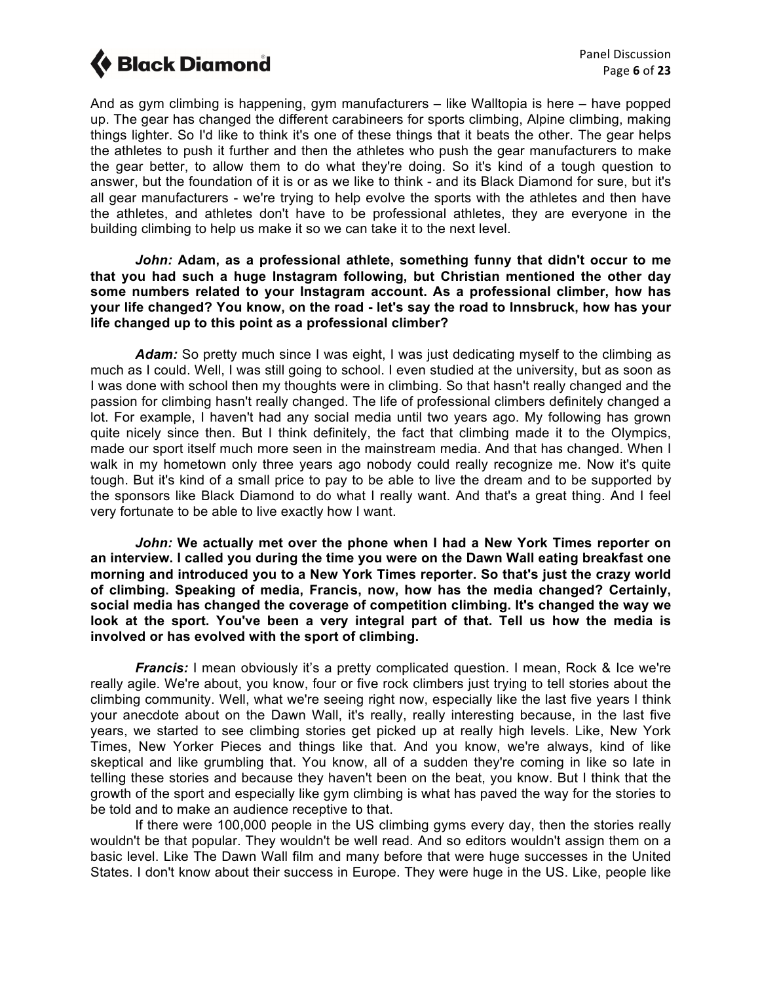And as gym climbing is happening, gym manufacturers – like Walltopia is here – have popped up. The gear has changed the different carabineers for sports climbing, Alpine climbing, making things lighter. So I'd like to think it's one of these things that it beats the other. The gear helps the athletes to push it further and then the athletes who push the gear manufacturers to make the gear better, to allow them to do what they're doing. So it's kind of a tough question to answer, but the foundation of it is or as we like to think - and its Black Diamond for sure, but it's all gear manufacturers - we're trying to help evolve the sports with the athletes and then have the athletes, and athletes don't have to be professional athletes, they are everyone in the building climbing to help us make it so we can take it to the next level.

*John:* **Adam, as a professional athlete, something funny that didn't occur to me that you had such a huge Instagram following, but Christian mentioned the other day some numbers related to your Instagram account. As a professional climber, how has your life changed? You know, on the road - let's say the road to Innsbruck, how has your life changed up to this point as a professional climber?**

Adam: So pretty much since I was eight, I was just dedicating myself to the climbing as much as I could. Well, I was still going to school. I even studied at the university, but as soon as I was done with school then my thoughts were in climbing. So that hasn't really changed and the passion for climbing hasn't really changed. The life of professional climbers definitely changed a lot. For example, I haven't had any social media until two years ago. My following has grown quite nicely since then. But I think definitely, the fact that climbing made it to the Olympics, made our sport itself much more seen in the mainstream media. And that has changed. When I walk in my hometown only three years ago nobody could really recognize me. Now it's quite tough. But it's kind of a small price to pay to be able to live the dream and to be supported by the sponsors like Black Diamond to do what I really want. And that's a great thing. And I feel very fortunate to be able to live exactly how I want.

*John:* **We actually met over the phone when I had a New York Times reporter on an interview. I called you during the time you were on the Dawn Wall eating breakfast one morning and introduced you to a New York Times reporter. So that's just the crazy world of climbing. Speaking of media, Francis, now, how has the media changed? Certainly, social media has changed the coverage of competition climbing. It's changed the way we look at the sport. You've been a very integral part of that. Tell us how the media is involved or has evolved with the sport of climbing.**

*Francis:* I mean obviously it's a pretty complicated question. I mean, Rock & Ice we're really agile. We're about, you know, four or five rock climbers just trying to tell stories about the climbing community. Well, what we're seeing right now, especially like the last five years I think your anecdote about on the Dawn Wall, it's really, really interesting because, in the last five years, we started to see climbing stories get picked up at really high levels. Like, New York Times, New Yorker Pieces and things like that. And you know, we're always, kind of like skeptical and like grumbling that. You know, all of a sudden they're coming in like so late in telling these stories and because they haven't been on the beat, you know. But I think that the growth of the sport and especially like gym climbing is what has paved the way for the stories to be told and to make an audience receptive to that.

If there were 100,000 people in the US climbing gyms every day, then the stories really wouldn't be that popular. They wouldn't be well read. And so editors wouldn't assign them on a basic level. Like The Dawn Wall film and many before that were huge successes in the United States. I don't know about their success in Europe. They were huge in the US. Like, people like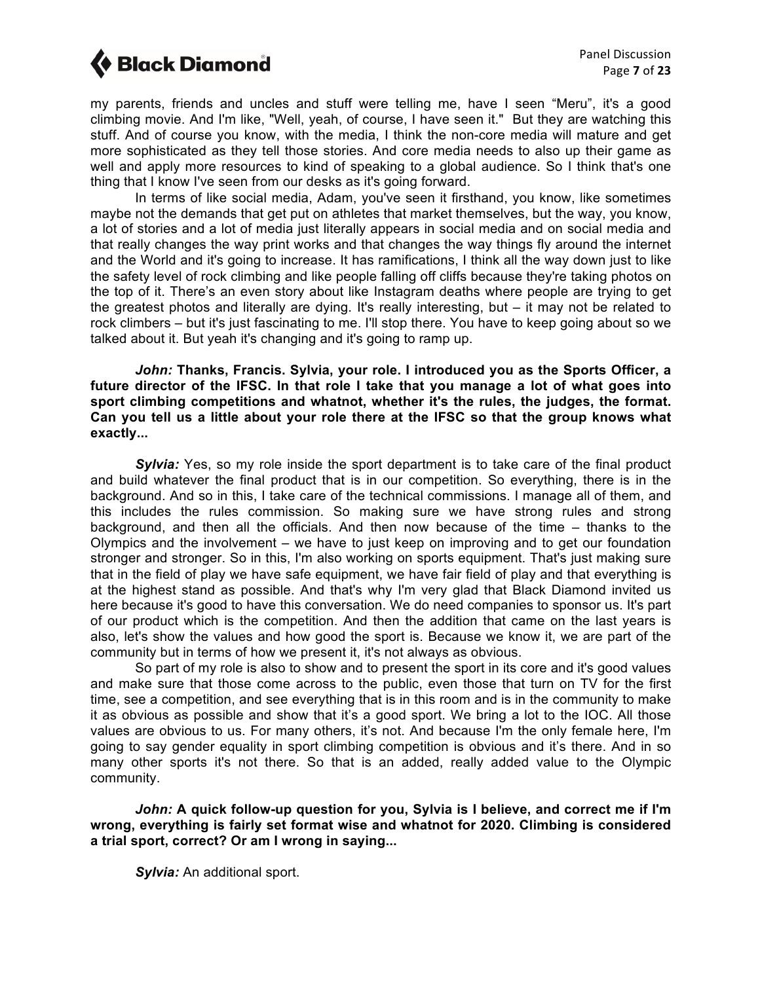my parents, friends and uncles and stuff were telling me, have I seen "Meru", it's a good climbing movie. And I'm like, "Well, yeah, of course, I have seen it." But they are watching this stuff. And of course you know, with the media, I think the non-core media will mature and get more sophisticated as they tell those stories. And core media needs to also up their game as well and apply more resources to kind of speaking to a global audience. So I think that's one thing that I know I've seen from our desks as it's going forward.

In terms of like social media, Adam, you've seen it firsthand, you know, like sometimes maybe not the demands that get put on athletes that market themselves, but the way, you know, a lot of stories and a lot of media just literally appears in social media and on social media and that really changes the way print works and that changes the way things fly around the internet and the World and it's going to increase. It has ramifications, I think all the way down just to like the safety level of rock climbing and like people falling off cliffs because they're taking photos on the top of it. There's an even story about like Instagram deaths where people are trying to get the greatest photos and literally are dying. It's really interesting, but – it may not be related to rock climbers – but it's just fascinating to me. I'll stop there. You have to keep going about so we talked about it. But yeah it's changing and it's going to ramp up.

*John:* **Thanks, Francis. Sylvia, your role. I introduced you as the Sports Officer, a future director of the IFSC. In that role I take that you manage a lot of what goes into sport climbing competitions and whatnot, whether it's the rules, the judges, the format. Can you tell us a little about your role there at the IFSC so that the group knows what exactly...**

*Sylvia:* Yes, so my role inside the sport department is to take care of the final product and build whatever the final product that is in our competition. So everything, there is in the background. And so in this, I take care of the technical commissions. I manage all of them, and this includes the rules commission. So making sure we have strong rules and strong background, and then all the officials. And then now because of the time – thanks to the Olympics and the involvement – we have to just keep on improving and to get our foundation stronger and stronger. So in this, I'm also working on sports equipment. That's just making sure that in the field of play we have safe equipment, we have fair field of play and that everything is at the highest stand as possible. And that's why I'm very glad that Black Diamond invited us here because it's good to have this conversation. We do need companies to sponsor us. It's part of our product which is the competition. And then the addition that came on the last years is also, let's show the values and how good the sport is. Because we know it, we are part of the community but in terms of how we present it, it's not always as obvious.

So part of my role is also to show and to present the sport in its core and it's good values and make sure that those come across to the public, even those that turn on TV for the first time, see a competition, and see everything that is in this room and is in the community to make it as obvious as possible and show that it's a good sport. We bring a lot to the IOC. All those values are obvious to us. For many others, it's not. And because I'm the only female here, I'm going to say gender equality in sport climbing competition is obvious and it's there. And in so many other sports it's not there. So that is an added, really added value to the Olympic community.

*John:* **A quick follow-up question for you, Sylvia is I believe, and correct me if I'm wrong, everything is fairly set format wise and whatnot for 2020. Climbing is considered a trial sport, correct? Or am I wrong in saying...**

*Sylvia:* An additional sport.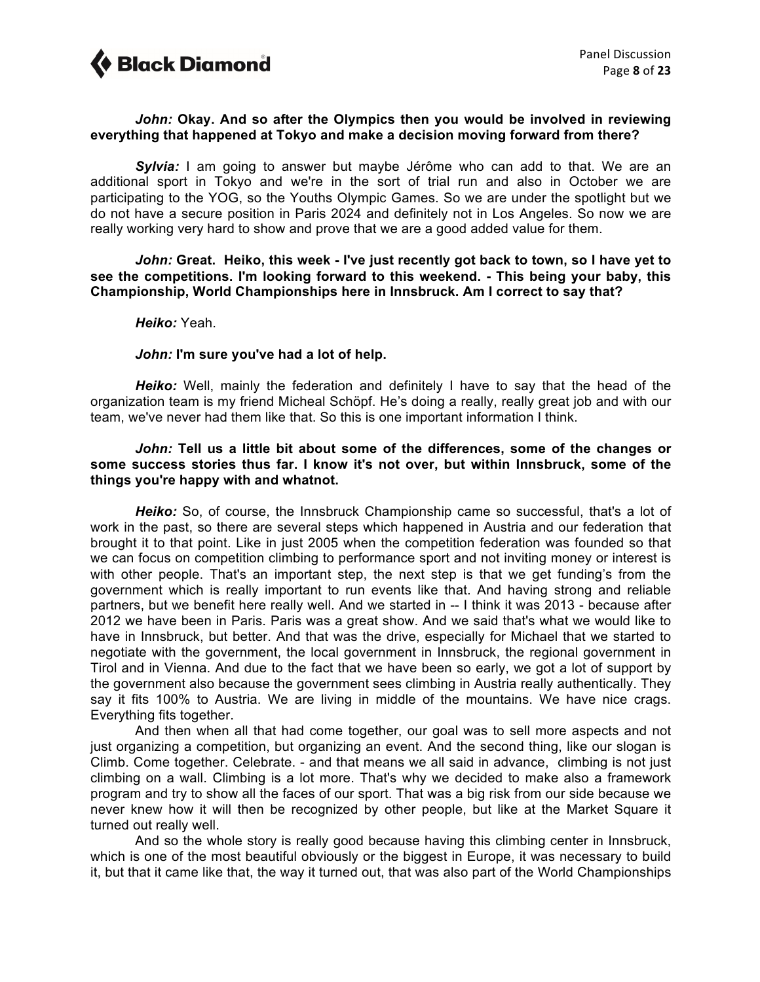### *John:* **Okay. And so after the Olympics then you would be involved in reviewing everything that happened at Tokyo and make a decision moving forward from there?**

*Sylvia:* I am going to answer but maybe Jérôme who can add to that. We are an additional sport in Tokyo and we're in the sort of trial run and also in October we are participating to the YOG, so the Youths Olympic Games. So we are under the spotlight but we do not have a secure position in Paris 2024 and definitely not in Los Angeles. So now we are really working very hard to show and prove that we are a good added value for them.

*John:* **Great. Heiko, this week - I've just recently got back to town, so I have yet to see the competitions. I'm looking forward to this weekend. - This being your baby, this Championship, World Championships here in Innsbruck. Am I correct to say that?**

#### *Heiko:* Yeah.

### *John:* **I'm sure you've had a lot of help.**

*Heiko:* Well, mainly the federation and definitely I have to say that the head of the organization team is my friend Micheal Schöpf. He's doing a really, really great job and with our team, we've never had them like that. So this is one important information I think.

#### *John:* **Tell us a little bit about some of the differences, some of the changes or some success stories thus far. I know it's not over, but within Innsbruck, some of the things you're happy with and whatnot.**

*Heiko:* So, of course, the Innsbruck Championship came so successful, that's a lot of work in the past, so there are several steps which happened in Austria and our federation that brought it to that point. Like in just 2005 when the competition federation was founded so that we can focus on competition climbing to performance sport and not inviting money or interest is with other people. That's an important step, the next step is that we get funding's from the government which is really important to run events like that. And having strong and reliable partners, but we benefit here really well. And we started in -- I think it was 2013 - because after 2012 we have been in Paris. Paris was a great show. And we said that's what we would like to have in Innsbruck, but better. And that was the drive, especially for Michael that we started to negotiate with the government, the local government in Innsbruck, the regional government in Tirol and in Vienna. And due to the fact that we have been so early, we got a lot of support by the government also because the government sees climbing in Austria really authentically. They say it fits 100% to Austria. We are living in middle of the mountains. We have nice crags. Everything fits together.

And then when all that had come together, our goal was to sell more aspects and not just organizing a competition, but organizing an event. And the second thing, like our slogan is Climb. Come together. Celebrate. - and that means we all said in advance, climbing is not just climbing on a wall. Climbing is a lot more. That's why we decided to make also a framework program and try to show all the faces of our sport. That was a big risk from our side because we never knew how it will then be recognized by other people, but like at the Market Square it turned out really well.

And so the whole story is really good because having this climbing center in Innsbruck, which is one of the most beautiful obviously or the biggest in Europe, it was necessary to build it, but that it came like that, the way it turned out, that was also part of the World Championships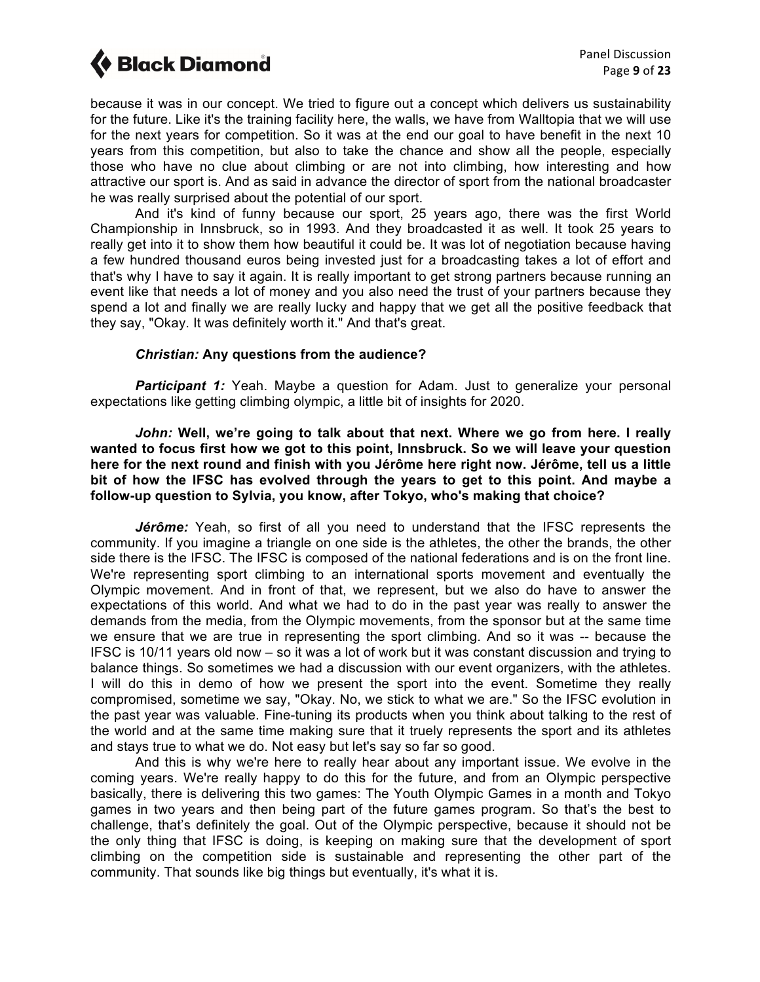because it was in our concept. We tried to figure out a concept which delivers us sustainability for the future. Like it's the training facility here, the walls, we have from Walltopia that we will use for the next years for competition. So it was at the end our goal to have benefit in the next 10 years from this competition, but also to take the chance and show all the people, especially those who have no clue about climbing or are not into climbing, how interesting and how attractive our sport is. And as said in advance the director of sport from the national broadcaster he was really surprised about the potential of our sport.

And it's kind of funny because our sport, 25 years ago, there was the first World Championship in Innsbruck, so in 1993. And they broadcasted it as well. It took 25 years to really get into it to show them how beautiful it could be. It was lot of negotiation because having a few hundred thousand euros being invested just for a broadcasting takes a lot of effort and that's why I have to say it again. It is really important to get strong partners because running an event like that needs a lot of money and you also need the trust of your partners because they spend a lot and finally we are really lucky and happy that we get all the positive feedback that they say, "Okay. It was definitely worth it." And that's great.

### *Christian:* **Any questions from the audience?**

**Participant 1:** Yeah. Maybe a question for Adam. Just to generalize your personal expectations like getting climbing olympic, a little bit of insights for 2020.

*John:* **Well, we're going to talk about that next. Where we go from here. I really wanted to focus first how we got to this point, Innsbruck. So we will leave your question here for the next round and finish with you Jérôme here right now. Jérôme, tell us a little bit of how the IFSC has evolved through the years to get to this point. And maybe a follow-up question to Sylvia, you know, after Tokyo, who's making that choice?** 

*Jérôme:* Yeah, so first of all you need to understand that the IFSC represents the community. If you imagine a triangle on one side is the athletes, the other the brands, the other side there is the IFSC. The IFSC is composed of the national federations and is on the front line. We're representing sport climbing to an international sports movement and eventually the Olympic movement. And in front of that, we represent, but we also do have to answer the expectations of this world. And what we had to do in the past year was really to answer the demands from the media, from the Olympic movements, from the sponsor but at the same time we ensure that we are true in representing the sport climbing. And so it was -- because the IFSC is 10/11 years old now – so it was a lot of work but it was constant discussion and trying to balance things. So sometimes we had a discussion with our event organizers, with the athletes. I will do this in demo of how we present the sport into the event. Sometime they really compromised, sometime we say, "Okay. No, we stick to what we are." So the IFSC evolution in the past year was valuable. Fine-tuning its products when you think about talking to the rest of the world and at the same time making sure that it truely represents the sport and its athletes and stays true to what we do. Not easy but let's say so far so good.

And this is why we're here to really hear about any important issue. We evolve in the coming years. We're really happy to do this for the future, and from an Olympic perspective basically, there is delivering this two games: The Youth Olympic Games in a month and Tokyo games in two years and then being part of the future games program. So that's the best to challenge, that's definitely the goal. Out of the Olympic perspective, because it should not be the only thing that IFSC is doing, is keeping on making sure that the development of sport climbing on the competition side is sustainable and representing the other part of the community. That sounds like big things but eventually, it's what it is.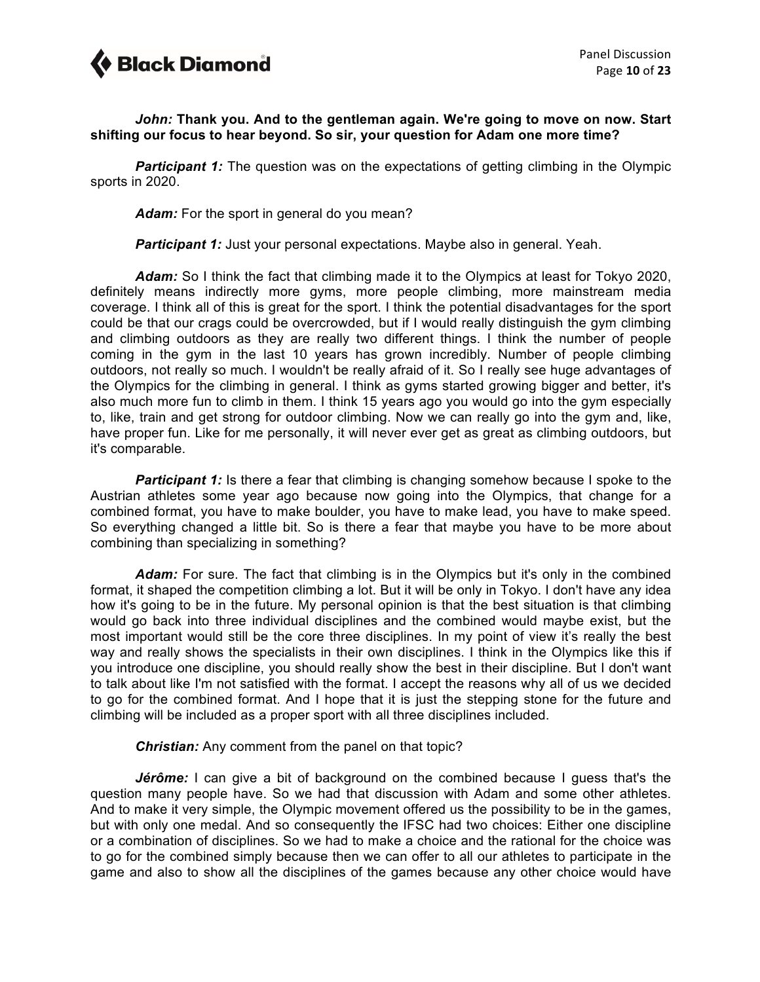

### *John:* **Thank you. And to the gentleman again. We're going to move on now. Start shifting our focus to hear beyond. So sir, your question for Adam one more time?**

*Participant 1:* The question was on the expectations of getting climbing in the Olympic sports in 2020.

*Adam:* For the sport in general do you mean?

**Participant 1:** Just your personal expectations. Maybe also in general. Yeah.

*Adam:* So I think the fact that climbing made it to the Olympics at least for Tokyo 2020, definitely means indirectly more gyms, more people climbing, more mainstream media coverage. I think all of this is great for the sport. I think the potential disadvantages for the sport could be that our crags could be overcrowded, but if I would really distinguish the gym climbing and climbing outdoors as they are really two different things. I think the number of people coming in the gym in the last 10 years has grown incredibly. Number of people climbing outdoors, not really so much. I wouldn't be really afraid of it. So I really see huge advantages of the Olympics for the climbing in general. I think as gyms started growing bigger and better, it's also much more fun to climb in them. I think 15 years ago you would go into the gym especially to, like, train and get strong for outdoor climbing. Now we can really go into the gym and, like, have proper fun. Like for me personally, it will never ever get as great as climbing outdoors, but it's comparable.

**Participant 1:** Is there a fear that climbing is changing somehow because I spoke to the Austrian athletes some year ago because now going into the Olympics, that change for a combined format, you have to make boulder, you have to make lead, you have to make speed. So everything changed a little bit. So is there a fear that maybe you have to be more about combining than specializing in something?

Adam: For sure. The fact that climbing is in the Olympics but it's only in the combined format, it shaped the competition climbing a lot. But it will be only in Tokyo. I don't have any idea how it's going to be in the future. My personal opinion is that the best situation is that climbing would go back into three individual disciplines and the combined would maybe exist, but the most important would still be the core three disciplines. In my point of view it's really the best way and really shows the specialists in their own disciplines. I think in the Olympics like this if you introduce one discipline, you should really show the best in their discipline. But I don't want to talk about like I'm not satisfied with the format. I accept the reasons why all of us we decided to go for the combined format. And I hope that it is just the stepping stone for the future and climbing will be included as a proper sport with all three disciplines included.

### *Christian:* Any comment from the panel on that topic?

*Jérôme:* I can give a bit of background on the combined because I guess that's the question many people have. So we had that discussion with Adam and some other athletes. And to make it very simple, the Olympic movement offered us the possibility to be in the games, but with only one medal. And so consequently the IFSC had two choices: Either one discipline or a combination of disciplines. So we had to make a choice and the rational for the choice was to go for the combined simply because then we can offer to all our athletes to participate in the game and also to show all the disciplines of the games because any other choice would have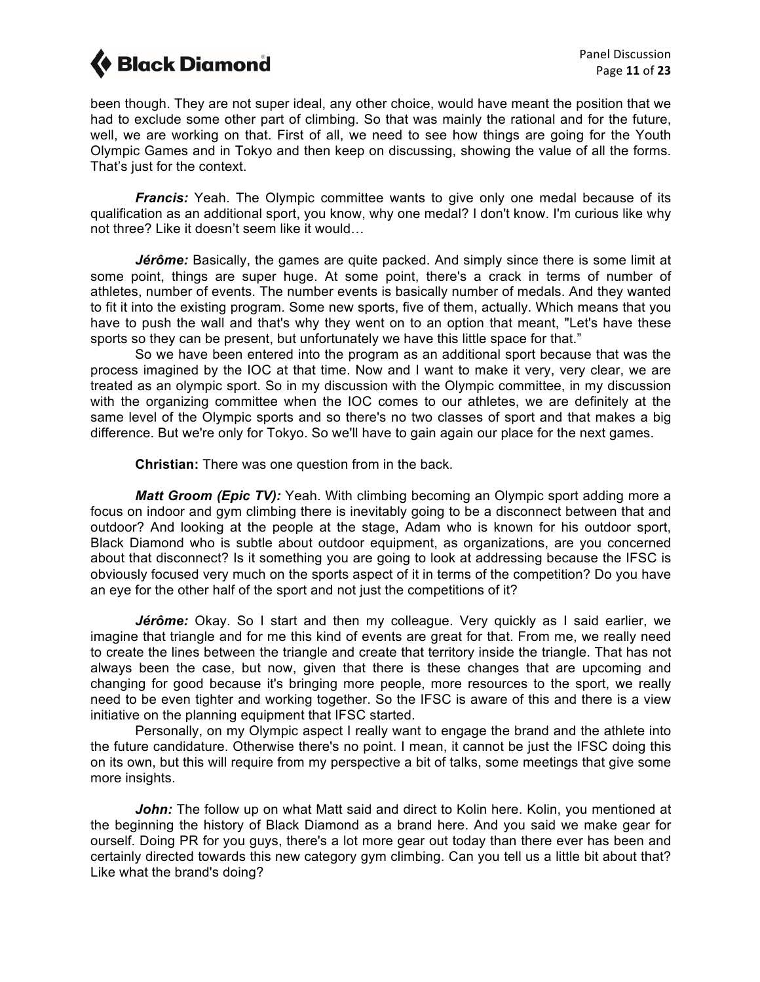been though. They are not super ideal, any other choice, would have meant the position that we had to exclude some other part of climbing. So that was mainly the rational and for the future, well, we are working on that. First of all, we need to see how things are going for the Youth Olympic Games and in Tokyo and then keep on discussing, showing the value of all the forms. That's just for the context.

**Francis:** Yeah. The Olympic committee wants to give only one medal because of its qualification as an additional sport, you know, why one medal? I don't know. I'm curious like why not three? Like it doesn't seem like it would…

*Jérôme:* Basically, the games are quite packed. And simply since there is some limit at some point, things are super huge. At some point, there's a crack in terms of number of athletes, number of events. The number events is basically number of medals. And they wanted to fit it into the existing program. Some new sports, five of them, actually. Which means that you have to push the wall and that's why they went on to an option that meant, "Let's have these sports so they can be present, but unfortunately we have this little space for that."

So we have been entered into the program as an additional sport because that was the process imagined by the IOC at that time. Now and I want to make it very, very clear, we are treated as an olympic sport. So in my discussion with the Olympic committee, in my discussion with the organizing committee when the IOC comes to our athletes, we are definitely at the same level of the Olympic sports and so there's no two classes of sport and that makes a big difference. But we're only for Tokyo. So we'll have to gain again our place for the next games.

**Christian:** There was one question from in the back.

*Matt Groom (Epic TV):* Yeah. With climbing becoming an Olympic sport adding more a focus on indoor and gym climbing there is inevitably going to be a disconnect between that and outdoor? And looking at the people at the stage, Adam who is known for his outdoor sport, Black Diamond who is subtle about outdoor equipment, as organizations, are you concerned about that disconnect? Is it something you are going to look at addressing because the IFSC is obviously focused very much on the sports aspect of it in terms of the competition? Do you have an eye for the other half of the sport and not just the competitions of it?

*Jérôme:* Okay. So I start and then my colleague. Very quickly as I said earlier, we imagine that triangle and for me this kind of events are great for that. From me, we really need to create the lines between the triangle and create that territory inside the triangle. That has not always been the case, but now, given that there is these changes that are upcoming and changing for good because it's bringing more people, more resources to the sport, we really need to be even tighter and working together. So the IFSC is aware of this and there is a view initiative on the planning equipment that IFSC started.

Personally, on my Olympic aspect I really want to engage the brand and the athlete into the future candidature. Otherwise there's no point. I mean, it cannot be just the IFSC doing this on its own, but this will require from my perspective a bit of talks, some meetings that give some more insights.

**John:** The follow up on what Matt said and direct to Kolin here. Kolin, you mentioned at the beginning the history of Black Diamond as a brand here. And you said we make gear for ourself. Doing PR for you guys, there's a lot more gear out today than there ever has been and certainly directed towards this new category gym climbing. Can you tell us a little bit about that? Like what the brand's doing?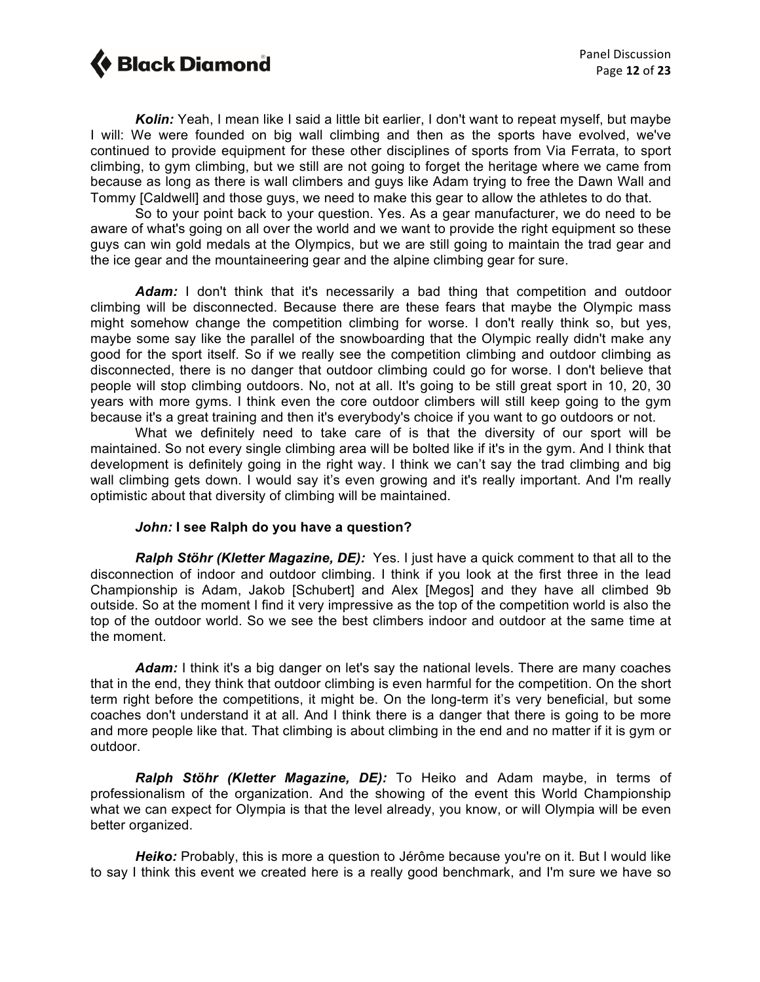*Kolin:* Yeah, I mean like I said a little bit earlier, I don't want to repeat myself, but maybe I will: We were founded on big wall climbing and then as the sports have evolved, we've continued to provide equipment for these other disciplines of sports from Via Ferrata, to sport climbing, to gym climbing, but we still are not going to forget the heritage where we came from because as long as there is wall climbers and guys like Adam trying to free the Dawn Wall and Tommy [Caldwell] and those guys, we need to make this gear to allow the athletes to do that.

So to your point back to your question. Yes. As a gear manufacturer, we do need to be aware of what's going on all over the world and we want to provide the right equipment so these guys can win gold medals at the Olympics, but we are still going to maintain the trad gear and the ice gear and the mountaineering gear and the alpine climbing gear for sure.

*Adam:* I don't think that it's necessarily a bad thing that competition and outdoor climbing will be disconnected. Because there are these fears that maybe the Olympic mass might somehow change the competition climbing for worse. I don't really think so, but yes, maybe some say like the parallel of the snowboarding that the Olympic really didn't make any good for the sport itself. So if we really see the competition climbing and outdoor climbing as disconnected, there is no danger that outdoor climbing could go for worse. I don't believe that people will stop climbing outdoors. No, not at all. It's going to be still great sport in 10, 20, 30 years with more gyms. I think even the core outdoor climbers will still keep going to the gym because it's a great training and then it's everybody's choice if you want to go outdoors or not.

What we definitely need to take care of is that the diversity of our sport will be maintained. So not every single climbing area will be bolted like if it's in the gym. And I think that development is definitely going in the right way. I think we can't say the trad climbing and big wall climbing gets down. I would say it's even growing and it's really important. And I'm really optimistic about that diversity of climbing will be maintained.

### *John:* **I see Ralph do you have a question?**

*Ralph Stöhr (Kletter Magazine, DE):* Yes. I just have a quick comment to that all to the disconnection of indoor and outdoor climbing. I think if you look at the first three in the lead Championship is Adam, Jakob [Schubert] and Alex [Megos] and they have all climbed 9b outside. So at the moment I find it very impressive as the top of the competition world is also the top of the outdoor world. So we see the best climbers indoor and outdoor at the same time at the moment.

Adam: I think it's a big danger on let's say the national levels. There are many coaches that in the end, they think that outdoor climbing is even harmful for the competition. On the short term right before the competitions, it might be. On the long-term it's very beneficial, but some coaches don't understand it at all. And I think there is a danger that there is going to be more and more people like that. That climbing is about climbing in the end and no matter if it is gym or outdoor.

*Ralph Stöhr (Kletter Magazine, DE):* To Heiko and Adam maybe, in terms of professionalism of the organization. And the showing of the event this World Championship what we can expect for Olympia is that the level already, you know, or will Olympia will be even better organized.

*Heiko:* Probably, this is more a question to Jérôme because you're on it. But I would like to say I think this event we created here is a really good benchmark, and I'm sure we have so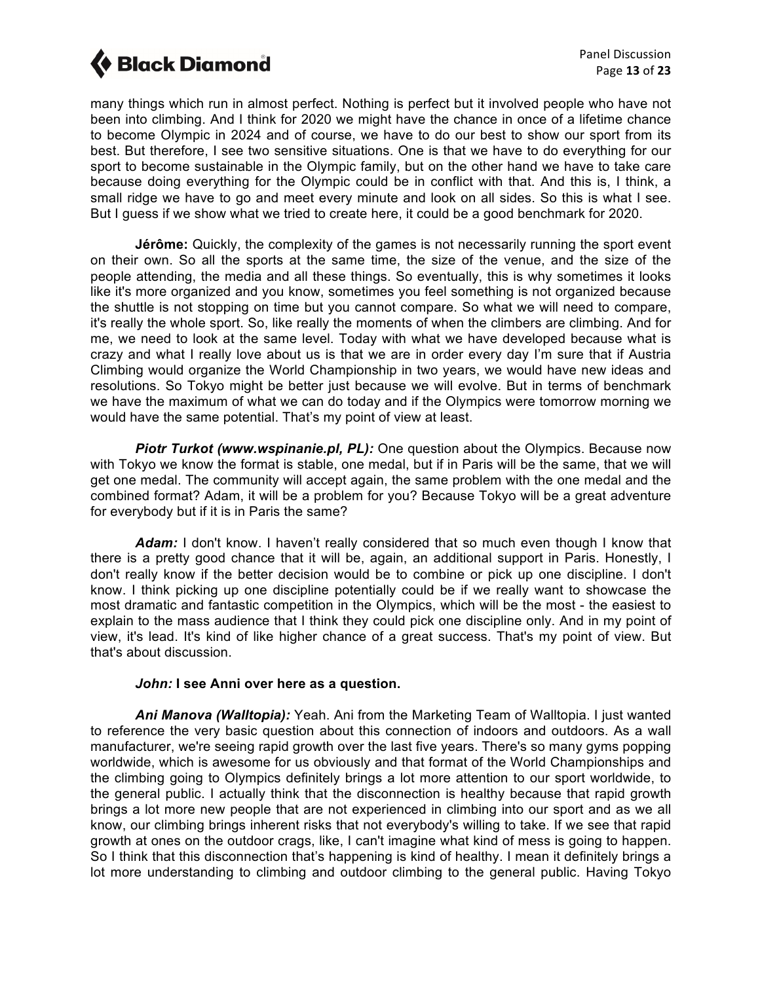many things which run in almost perfect. Nothing is perfect but it involved people who have not been into climbing. And I think for 2020 we might have the chance in once of a lifetime chance to become Olympic in 2024 and of course, we have to do our best to show our sport from its best. But therefore, I see two sensitive situations. One is that we have to do everything for our sport to become sustainable in the Olympic family, but on the other hand we have to take care because doing everything for the Olympic could be in conflict with that. And this is, I think, a small ridge we have to go and meet every minute and look on all sides. So this is what I see. But I guess if we show what we tried to create here, it could be a good benchmark for 2020.

**Jérôme:** Quickly, the complexity of the games is not necessarily running the sport event on their own. So all the sports at the same time, the size of the venue, and the size of the people attending, the media and all these things. So eventually, this is why sometimes it looks like it's more organized and you know, sometimes you feel something is not organized because the shuttle is not stopping on time but you cannot compare. So what we will need to compare, it's really the whole sport. So, like really the moments of when the climbers are climbing. And for me, we need to look at the same level. Today with what we have developed because what is crazy and what I really love about us is that we are in order every day I'm sure that if Austria Climbing would organize the World Championship in two years, we would have new ideas and resolutions. So Tokyo might be better just because we will evolve. But in terms of benchmark we have the maximum of what we can do today and if the Olympics were tomorrow morning we would have the same potential. That's my point of view at least.

*Piotr Turkot (www.wspinanie.pl, PL):* One question about the Olympics. Because now with Tokyo we know the format is stable, one medal, but if in Paris will be the same, that we will get one medal. The community will accept again, the same problem with the one medal and the combined format? Adam, it will be a problem for you? Because Tokyo will be a great adventure for everybody but if it is in Paris the same?

*Adam:* I don't know. I haven't really considered that so much even though I know that there is a pretty good chance that it will be, again, an additional support in Paris. Honestly, I don't really know if the better decision would be to combine or pick up one discipline. I don't know. I think picking up one discipline potentially could be if we really want to showcase the most dramatic and fantastic competition in the Olympics, which will be the most - the easiest to explain to the mass audience that I think they could pick one discipline only. And in my point of view, it's lead. It's kind of like higher chance of a great success. That's my point of view. But that's about discussion.

### *John:* **I see Anni over here as a question.**

*Ani Manova (Walltopia):* Yeah. Ani from the Marketing Team of Walltopia. I just wanted to reference the very basic question about this connection of indoors and outdoors. As a wall manufacturer, we're seeing rapid growth over the last five years. There's so many gyms popping worldwide, which is awesome for us obviously and that format of the World Championships and the climbing going to Olympics definitely brings a lot more attention to our sport worldwide, to the general public. I actually think that the disconnection is healthy because that rapid growth brings a lot more new people that are not experienced in climbing into our sport and as we all know, our climbing brings inherent risks that not everybody's willing to take. If we see that rapid growth at ones on the outdoor crags, like, I can't imagine what kind of mess is going to happen. So I think that this disconnection that's happening is kind of healthy. I mean it definitely brings a lot more understanding to climbing and outdoor climbing to the general public. Having Tokyo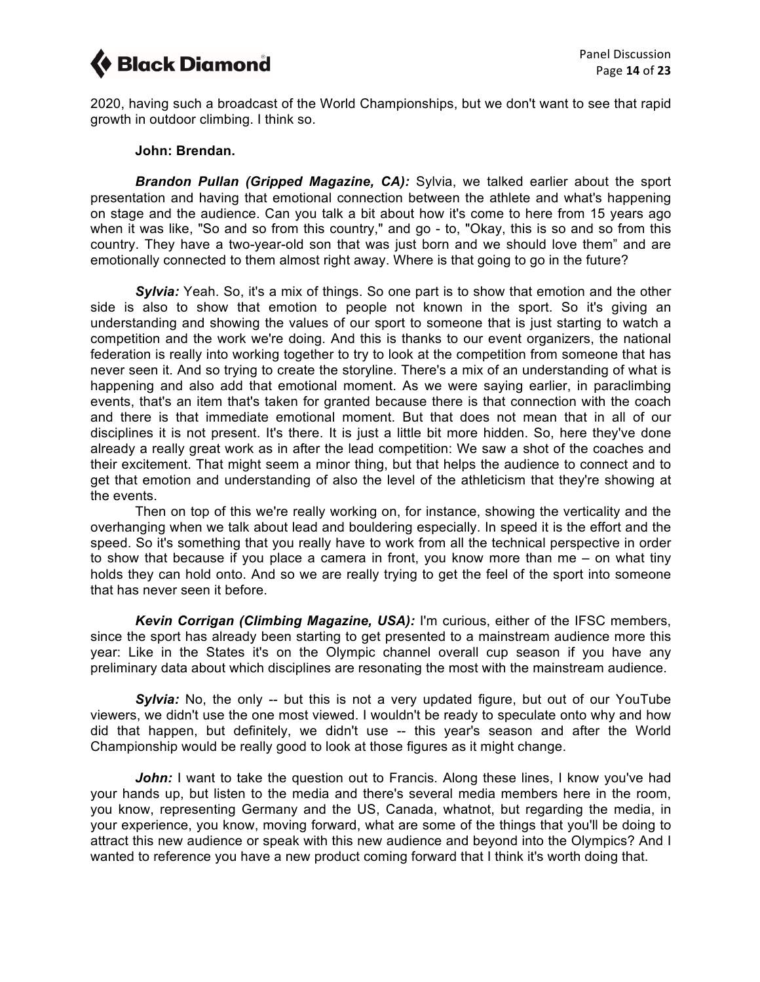2020, having such a broadcast of the World Championships, but we don't want to see that rapid growth in outdoor climbing. I think so.

#### **John: Brendan.**

*Brandon Pullan (Gripped Magazine, CA):* Sylvia, we talked earlier about the sport presentation and having that emotional connection between the athlete and what's happening on stage and the audience. Can you talk a bit about how it's come to here from 15 years ago when it was like, "So and so from this country," and go - to, "Okay, this is so and so from this country. They have a two-year-old son that was just born and we should love them" and are emotionally connected to them almost right away. Where is that going to go in the future?

*Sylvia:* Yeah. So, it's a mix of things. So one part is to show that emotion and the other side is also to show that emotion to people not known in the sport. So it's giving an understanding and showing the values of our sport to someone that is just starting to watch a competition and the work we're doing. And this is thanks to our event organizers, the national federation is really into working together to try to look at the competition from someone that has never seen it. And so trying to create the storyline. There's a mix of an understanding of what is happening and also add that emotional moment. As we were saying earlier, in paraclimbing events, that's an item that's taken for granted because there is that connection with the coach and there is that immediate emotional moment. But that does not mean that in all of our disciplines it is not present. It's there. It is just a little bit more hidden. So, here they've done already a really great work as in after the lead competition: We saw a shot of the coaches and their excitement. That might seem a minor thing, but that helps the audience to connect and to get that emotion and understanding of also the level of the athleticism that they're showing at the events.

Then on top of this we're really working on, for instance, showing the verticality and the overhanging when we talk about lead and bouldering especially. In speed it is the effort and the speed. So it's something that you really have to work from all the technical perspective in order to show that because if you place a camera in front, you know more than me – on what tiny holds they can hold onto. And so we are really trying to get the feel of the sport into someone that has never seen it before.

*Kevin Corrigan (Climbing Magazine, USA):* I'm curious, either of the IFSC members, since the sport has already been starting to get presented to a mainstream audience more this year: Like in the States it's on the Olympic channel overall cup season if you have any preliminary data about which disciplines are resonating the most with the mainstream audience.

**Sylvia:** No, the only -- but this is not a very updated figure, but out of our YouTube viewers, we didn't use the one most viewed. I wouldn't be ready to speculate onto why and how did that happen, but definitely, we didn't use -- this year's season and after the World Championship would be really good to look at those figures as it might change.

*John:* I want to take the question out to Francis. Along these lines, I know you've had your hands up, but listen to the media and there's several media members here in the room, you know, representing Germany and the US, Canada, whatnot, but regarding the media, in your experience, you know, moving forward, what are some of the things that you'll be doing to attract this new audience or speak with this new audience and beyond into the Olympics? And I wanted to reference you have a new product coming forward that I think it's worth doing that.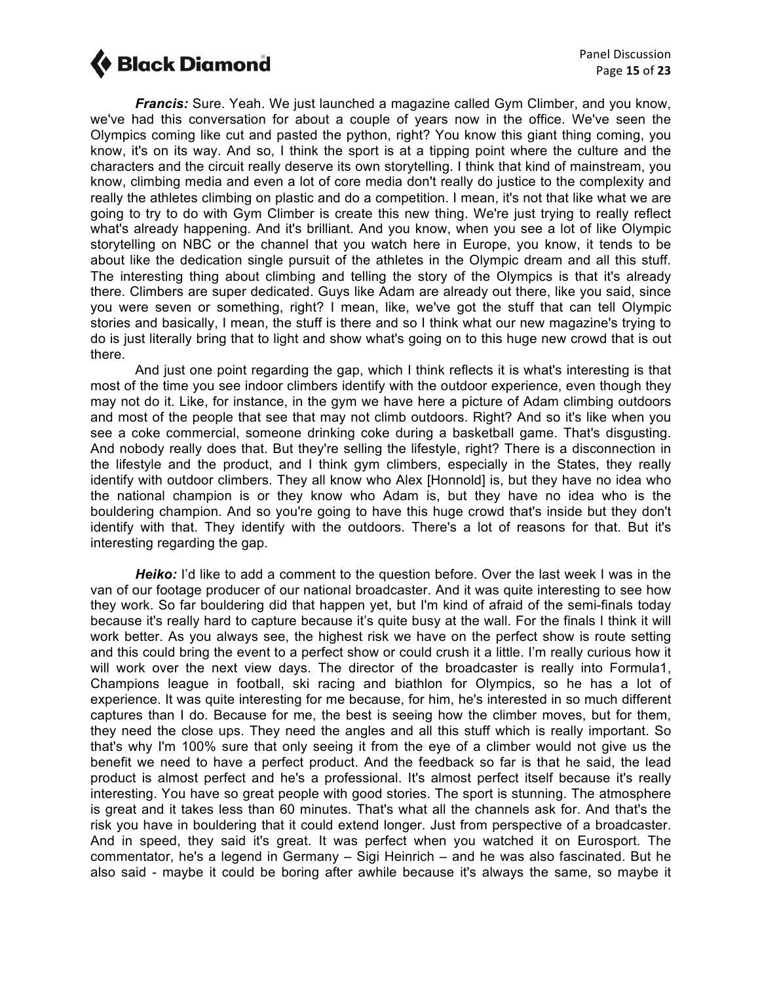*Francis:* Sure. Yeah. We just launched a magazine called Gym Climber, and you know, we've had this conversation for about a couple of years now in the office. We've seen the Olympics coming like cut and pasted the python, right? You know this giant thing coming, you know, it's on its way. And so, I think the sport is at a tipping point where the culture and the characters and the circuit really deserve its own storytelling. I think that kind of mainstream, you know, climbing media and even a lot of core media don't really do justice to the complexity and really the athletes climbing on plastic and do a competition. I mean, it's not that like what we are going to try to do with Gym Climber is create this new thing. We're just trying to really reflect what's already happening. And it's brilliant. And you know, when you see a lot of like Olympic storytelling on NBC or the channel that you watch here in Europe, you know, it tends to be about like the dedication single pursuit of the athletes in the Olympic dream and all this stuff. The interesting thing about climbing and telling the story of the Olympics is that it's already there. Climbers are super dedicated. Guys like Adam are already out there, like you said, since you were seven or something, right? I mean, like, we've got the stuff that can tell Olympic stories and basically, I mean, the stuff is there and so I think what our new magazine's trying to do is just literally bring that to light and show what's going on to this huge new crowd that is out there.

And just one point regarding the gap, which I think reflects it is what's interesting is that most of the time you see indoor climbers identify with the outdoor experience, even though they may not do it. Like, for instance, in the gym we have here a picture of Adam climbing outdoors and most of the people that see that may not climb outdoors. Right? And so it's like when you see a coke commercial, someone drinking coke during a basketball game. That's disgusting. And nobody really does that. But they're selling the lifestyle, right? There is a disconnection in the lifestyle and the product, and I think gym climbers, especially in the States, they really identify with outdoor climbers. They all know who Alex [Honnold] is, but they have no idea who the national champion is or they know who Adam is, but they have no idea who is the bouldering champion. And so you're going to have this huge crowd that's inside but they don't identify with that. They identify with the outdoors. There's a lot of reasons for that. But it's interesting regarding the gap.

**Heiko:** I'd like to add a comment to the question before. Over the last week I was in the van of our footage producer of our national broadcaster. And it was quite interesting to see how they work. So far bouldering did that happen yet, but I'm kind of afraid of the semi-finals today because it's really hard to capture because it's quite busy at the wall. For the finals I think it will work better. As you always see, the highest risk we have on the perfect show is route setting and this could bring the event to a perfect show or could crush it a little. I'm really curious how it will work over the next view days. The director of the broadcaster is really into Formula1, Champions league in football, ski racing and biathlon for Olympics, so he has a lot of experience. It was quite interesting for me because, for him, he's interested in so much different captures than I do. Because for me, the best is seeing how the climber moves, but for them, they need the close ups. They need the angles and all this stuff which is really important. So that's why I'm 100% sure that only seeing it from the eye of a climber would not give us the benefit we need to have a perfect product. And the feedback so far is that he said, the lead product is almost perfect and he's a professional. It's almost perfect itself because it's really interesting. You have so great people with good stories. The sport is stunning. The atmosphere is great and it takes less than 60 minutes. That's what all the channels ask for. And that's the risk you have in bouldering that it could extend longer. Just from perspective of a broadcaster. And in speed, they said it's great. It was perfect when you watched it on Eurosport. The commentator, he's a legend in Germany – Sigi Heinrich – and he was also fascinated. But he also said - maybe it could be boring after awhile because it's always the same, so maybe it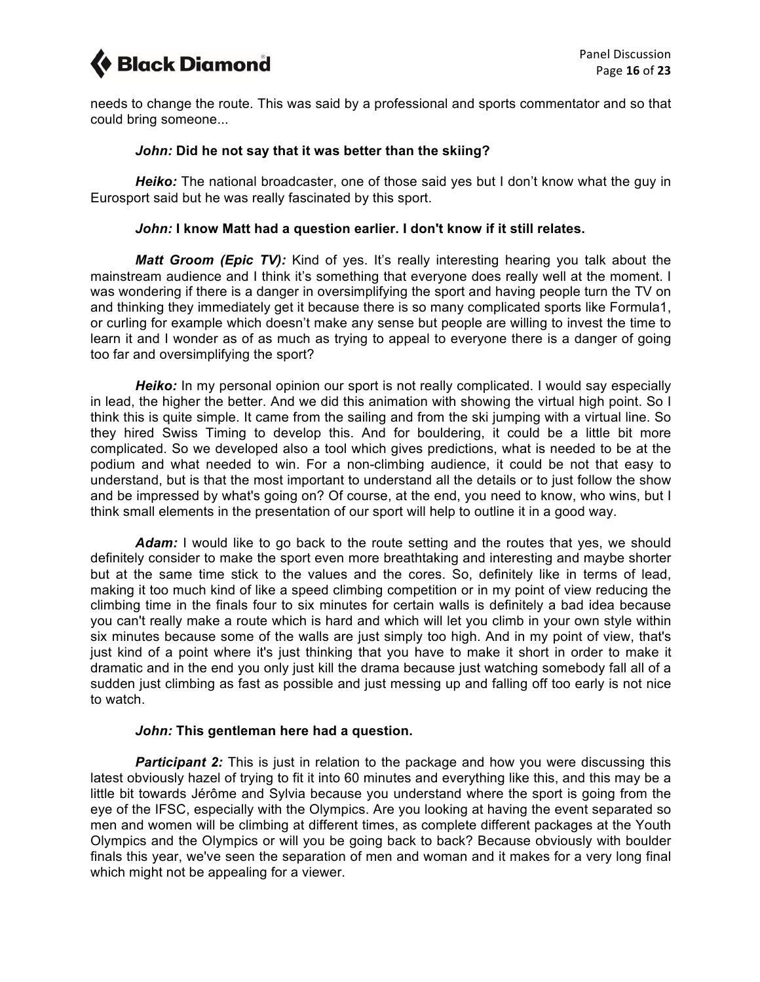needs to change the route. This was said by a professional and sports commentator and so that could bring someone...

### *John:* **Did he not say that it was better than the skiing?**

*Heiko:* The national broadcaster, one of those said yes but I don't know what the guy in Eurosport said but he was really fascinated by this sport.

### *John:* **I know Matt had a question earlier. I don't know if it still relates.**

*Matt Groom (Epic TV):* Kind of yes. It's really interesting hearing you talk about the mainstream audience and I think it's something that everyone does really well at the moment. I was wondering if there is a danger in oversimplifying the sport and having people turn the TV on and thinking they immediately get it because there is so many complicated sports like Formula1, or curling for example which doesn't make any sense but people are willing to invest the time to learn it and I wonder as of as much as trying to appeal to everyone there is a danger of going too far and oversimplifying the sport?

*Heiko:* In my personal opinion our sport is not really complicated. I would say especially in lead, the higher the better. And we did this animation with showing the virtual high point. So I think this is quite simple. It came from the sailing and from the ski jumping with a virtual line. So they hired Swiss Timing to develop this. And for bouldering, it could be a little bit more complicated. So we developed also a tool which gives predictions, what is needed to be at the podium and what needed to win. For a non-climbing audience, it could be not that easy to understand, but is that the most important to understand all the details or to just follow the show and be impressed by what's going on? Of course, at the end, you need to know, who wins, but I think small elements in the presentation of our sport will help to outline it in a good way.

Adam: I would like to go back to the route setting and the routes that yes, we should definitely consider to make the sport even more breathtaking and interesting and maybe shorter but at the same time stick to the values and the cores. So, definitely like in terms of lead, making it too much kind of like a speed climbing competition or in my point of view reducing the climbing time in the finals four to six minutes for certain walls is definitely a bad idea because you can't really make a route which is hard and which will let you climb in your own style within six minutes because some of the walls are just simply too high. And in my point of view, that's just kind of a point where it's just thinking that you have to make it short in order to make it dramatic and in the end you only just kill the drama because just watching somebody fall all of a sudden just climbing as fast as possible and just messing up and falling off too early is not nice to watch.

### *John:* **This gentleman here had a question.**

**Participant 2:** This is just in relation to the package and how you were discussing this latest obviously hazel of trying to fit it into 60 minutes and everything like this, and this may be a little bit towards Jérôme and Sylvia because you understand where the sport is going from the eye of the IFSC, especially with the Olympics. Are you looking at having the event separated so men and women will be climbing at different times, as complete different packages at the Youth Olympics and the Olympics or will you be going back to back? Because obviously with boulder finals this year, we've seen the separation of men and woman and it makes for a very long final which might not be appealing for a viewer.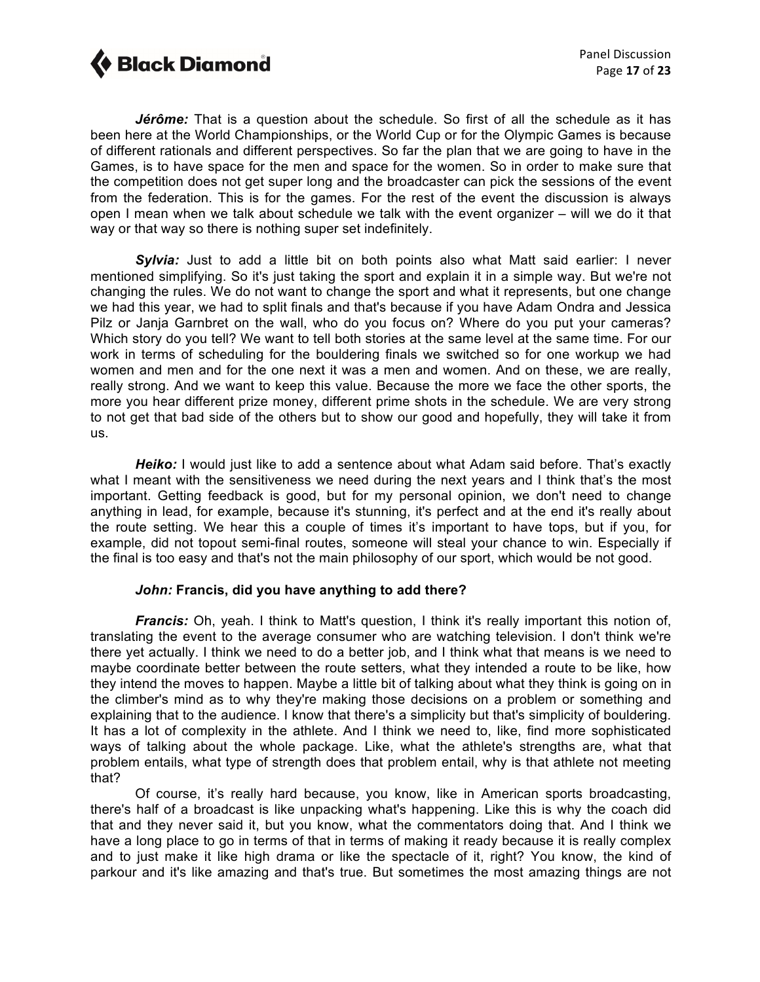

*Jérôme:* That is a question about the schedule. So first of all the schedule as it has been here at the World Championships, or the World Cup or for the Olympic Games is because of different rationals and different perspectives. So far the plan that we are going to have in the Games, is to have space for the men and space for the women. So in order to make sure that the competition does not get super long and the broadcaster can pick the sessions of the event from the federation. This is for the games. For the rest of the event the discussion is always open I mean when we talk about schedule we talk with the event organizer – will we do it that way or that way so there is nothing super set indefinitely.

**Sylvia:** Just to add a little bit on both points also what Matt said earlier: I never mentioned simplifying. So it's just taking the sport and explain it in a simple way. But we're not changing the rules. We do not want to change the sport and what it represents, but one change we had this year, we had to split finals and that's because if you have Adam Ondra and Jessica Pilz or Janja Garnbret on the wall, who do you focus on? Where do you put your cameras? Which story do you tell? We want to tell both stories at the same level at the same time. For our work in terms of scheduling for the bouldering finals we switched so for one workup we had women and men and for the one next it was a men and women. And on these, we are really, really strong. And we want to keep this value. Because the more we face the other sports, the more you hear different prize money, different prime shots in the schedule. We are very strong to not get that bad side of the others but to show our good and hopefully, they will take it from us.

*Heiko:* I would just like to add a sentence about what Adam said before. That's exactly what I meant with the sensitiveness we need during the next years and I think that's the most important. Getting feedback is good, but for my personal opinion, we don't need to change anything in lead, for example, because it's stunning, it's perfect and at the end it's really about the route setting. We hear this a couple of times it's important to have tops, but if you, for example, did not topout semi-final routes, someone will steal your chance to win. Especially if the final is too easy and that's not the main philosophy of our sport, which would be not good.

### *John:* **Francis, did you have anything to add there?**

*Francis:* Oh, yeah. I think to Matt's question, I think it's really important this notion of, translating the event to the average consumer who are watching television. I don't think we're there yet actually. I think we need to do a better job, and I think what that means is we need to maybe coordinate better between the route setters, what they intended a route to be like, how they intend the moves to happen. Maybe a little bit of talking about what they think is going on in the climber's mind as to why they're making those decisions on a problem or something and explaining that to the audience. I know that there's a simplicity but that's simplicity of bouldering. It has a lot of complexity in the athlete. And I think we need to, like, find more sophisticated ways of talking about the whole package. Like, what the athlete's strengths are, what that problem entails, what type of strength does that problem entail, why is that athlete not meeting that?

Of course, it's really hard because, you know, like in American sports broadcasting, there's half of a broadcast is like unpacking what's happening. Like this is why the coach did that and they never said it, but you know, what the commentators doing that. And I think we have a long place to go in terms of that in terms of making it ready because it is really complex and to just make it like high drama or like the spectacle of it, right? You know, the kind of parkour and it's like amazing and that's true. But sometimes the most amazing things are not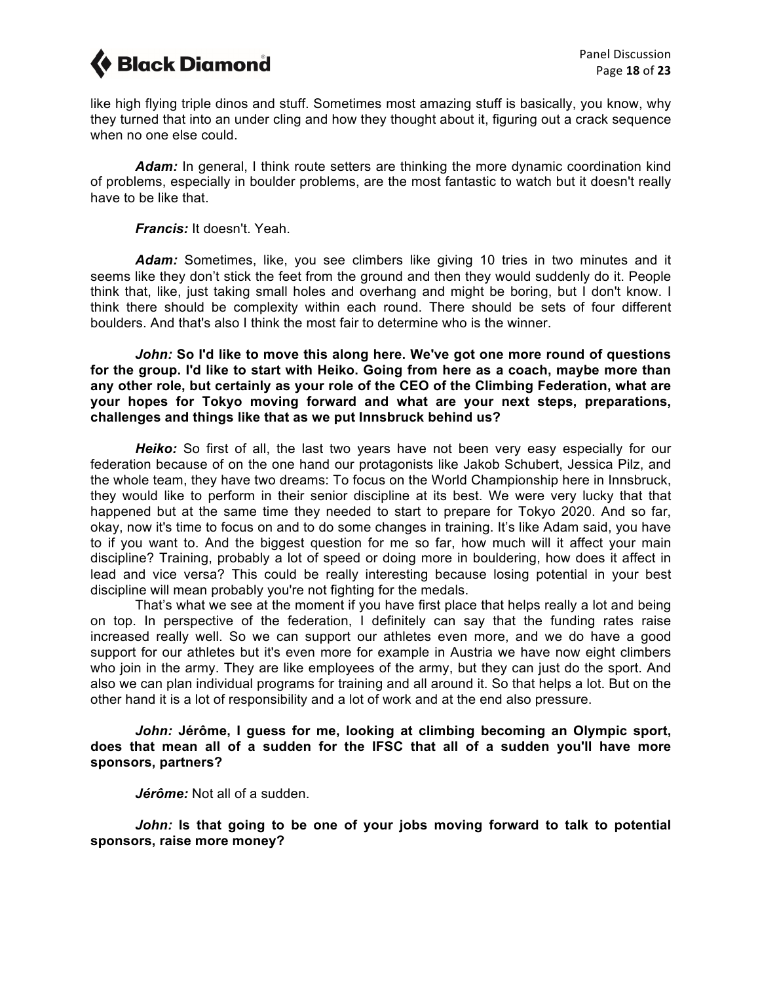

like high flying triple dinos and stuff. Sometimes most amazing stuff is basically, you know, why they turned that into an under cling and how they thought about it, figuring out a crack sequence when no one else could.

Adam: In general, I think route setters are thinking the more dynamic coordination kind of problems, especially in boulder problems, are the most fantastic to watch but it doesn't really have to be like that.

*Francis:* It doesn't. Yeah.

*Adam:* Sometimes, like, you see climbers like giving 10 tries in two minutes and it seems like they don't stick the feet from the ground and then they would suddenly do it. People think that, like, just taking small holes and overhang and might be boring, but I don't know. I think there should be complexity within each round. There should be sets of four different boulders. And that's also I think the most fair to determine who is the winner.

*John:* **So I'd like to move this along here. We've got one more round of questions for the group. I'd like to start with Heiko. Going from here as a coach, maybe more than any other role, but certainly as your role of the CEO of the Climbing Federation, what are your hopes for Tokyo moving forward and what are your next steps, preparations, challenges and things like that as we put Innsbruck behind us?**

*Heiko:* So first of all, the last two years have not been very easy especially for our federation because of on the one hand our protagonists like Jakob Schubert, Jessica Pilz, and the whole team, they have two dreams: To focus on the World Championship here in Innsbruck, they would like to perform in their senior discipline at its best. We were very lucky that that happened but at the same time they needed to start to prepare for Tokyo 2020. And so far, okay, now it's time to focus on and to do some changes in training. It's like Adam said, you have to if you want to. And the biggest question for me so far, how much will it affect your main discipline? Training, probably a lot of speed or doing more in bouldering, how does it affect in lead and vice versa? This could be really interesting because losing potential in your best discipline will mean probably you're not fighting for the medals.

That's what we see at the moment if you have first place that helps really a lot and being on top. In perspective of the federation, I definitely can say that the funding rates raise increased really well. So we can support our athletes even more, and we do have a good support for our athletes but it's even more for example in Austria we have now eight climbers who join in the army. They are like employees of the army, but they can just do the sport. And also we can plan individual programs for training and all around it. So that helps a lot. But on the other hand it is a lot of responsibility and a lot of work and at the end also pressure.

*John:* **Jérôme, I guess for me, looking at climbing becoming an Olympic sport, does that mean all of a sudden for the IFSC that all of a sudden you'll have more sponsors, partners?**

*Jérôme:* Not all of a sudden.

*John:* **Is that going to be one of your jobs moving forward to talk to potential sponsors, raise more money?**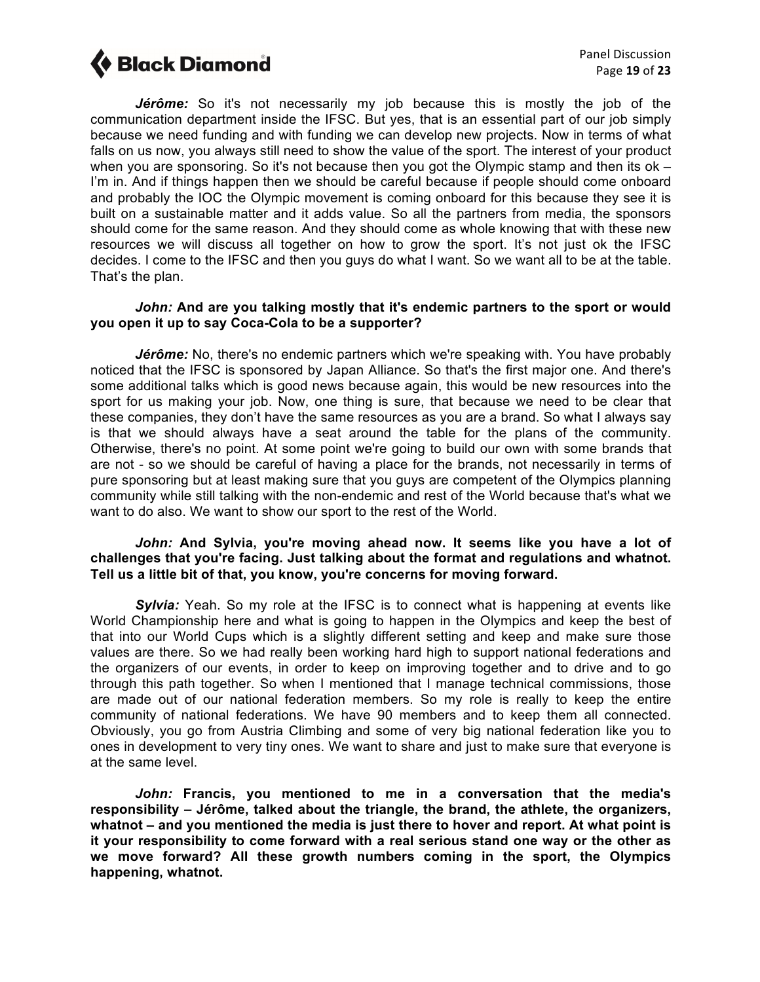

*Jérôme:* So it's not necessarily my job because this is mostly the job of the communication department inside the IFSC. But yes, that is an essential part of our job simply because we need funding and with funding we can develop new projects. Now in terms of what falls on us now, you always still need to show the value of the sport. The interest of your product when you are sponsoring. So it's not because then you got the Olympic stamp and then its ok -I'm in. And if things happen then we should be careful because if people should come onboard and probably the IOC the Olympic movement is coming onboard for this because they see it is built on a sustainable matter and it adds value. So all the partners from media, the sponsors should come for the same reason. And they should come as whole knowing that with these new resources we will discuss all together on how to grow the sport. It's not just ok the IFSC decides. I come to the IFSC and then you guys do what I want. So we want all to be at the table. That's the plan.

### *John:* **And are you talking mostly that it's endemic partners to the sport or would you open it up to say Coca-Cola to be a supporter?**

Jérôme: No, there's no endemic partners which we're speaking with. You have probably noticed that the IFSC is sponsored by Japan Alliance. So that's the first major one. And there's some additional talks which is good news because again, this would be new resources into the sport for us making your job. Now, one thing is sure, that because we need to be clear that these companies, they don't have the same resources as you are a brand. So what I always say is that we should always have a seat around the table for the plans of the community. Otherwise, there's no point. At some point we're going to build our own with some brands that are not - so we should be careful of having a place for the brands, not necessarily in terms of pure sponsoring but at least making sure that you guys are competent of the Olympics planning community while still talking with the non-endemic and rest of the World because that's what we want to do also. We want to show our sport to the rest of the World.

#### *John:* **And Sylvia, you're moving ahead now. It seems like you have a lot of challenges that you're facing. Just talking about the format and regulations and whatnot. Tell us a little bit of that, you know, you're concerns for moving forward.**

*Sylvia:* Yeah. So my role at the IFSC is to connect what is happening at events like World Championship here and what is going to happen in the Olympics and keep the best of that into our World Cups which is a slightly different setting and keep and make sure those values are there. So we had really been working hard high to support national federations and the organizers of our events, in order to keep on improving together and to drive and to go through this path together. So when I mentioned that I manage technical commissions, those are made out of our national federation members. So my role is really to keep the entire community of national federations. We have 90 members and to keep them all connected. Obviously, you go from Austria Climbing and some of very big national federation like you to ones in development to very tiny ones. We want to share and just to make sure that everyone is at the same level.

*John:* **Francis, you mentioned to me in a conversation that the media's responsibility – Jérôme, talked about the triangle, the brand, the athlete, the organizers, whatnot – and you mentioned the media is just there to hover and report. At what point is it your responsibility to come forward with a real serious stand one way or the other as we move forward? All these growth numbers coming in the sport, the Olympics happening, whatnot.**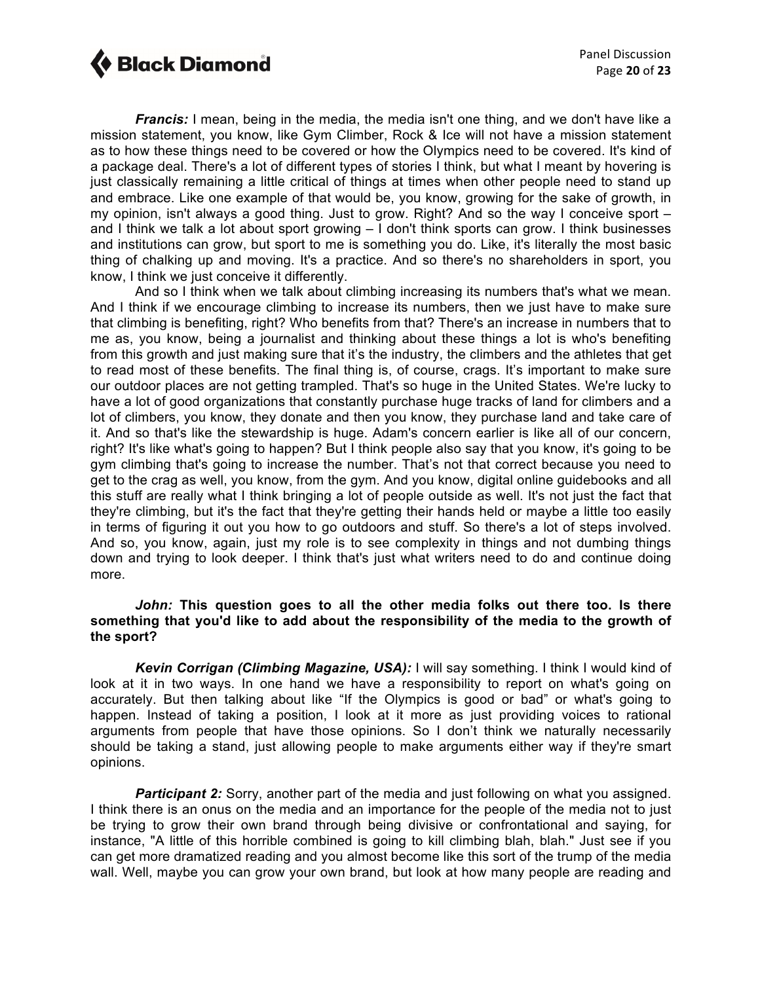*Francis:* I mean, being in the media, the media isn't one thing, and we don't have like a mission statement, you know, like Gym Climber, Rock & Ice will not have a mission statement as to how these things need to be covered or how the Olympics need to be covered. It's kind of a package deal. There's a lot of different types of stories I think, but what I meant by hovering is just classically remaining a little critical of things at times when other people need to stand up and embrace. Like one example of that would be, you know, growing for the sake of growth, in my opinion, isn't always a good thing. Just to grow. Right? And so the way I conceive sport – and I think we talk a lot about sport growing – I don't think sports can grow. I think businesses and institutions can grow, but sport to me is something you do. Like, it's literally the most basic thing of chalking up and moving. It's a practice. And so there's no shareholders in sport, you know, I think we just conceive it differently.

And so I think when we talk about climbing increasing its numbers that's what we mean. And I think if we encourage climbing to increase its numbers, then we just have to make sure that climbing is benefiting, right? Who benefits from that? There's an increase in numbers that to me as, you know, being a journalist and thinking about these things a lot is who's benefiting from this growth and just making sure that it's the industry, the climbers and the athletes that get to read most of these benefits. The final thing is, of course, crags. It's important to make sure our outdoor places are not getting trampled. That's so huge in the United States. We're lucky to have a lot of good organizations that constantly purchase huge tracks of land for climbers and a lot of climbers, you know, they donate and then you know, they purchase land and take care of it. And so that's like the stewardship is huge. Adam's concern earlier is like all of our concern, right? It's like what's going to happen? But I think people also say that you know, it's going to be gym climbing that's going to increase the number. That's not that correct because you need to get to the crag as well, you know, from the gym. And you know, digital online guidebooks and all this stuff are really what I think bringing a lot of people outside as well. It's not just the fact that they're climbing, but it's the fact that they're getting their hands held or maybe a little too easily in terms of figuring it out you how to go outdoors and stuff. So there's a lot of steps involved. And so, you know, again, just my role is to see complexity in things and not dumbing things down and trying to look deeper. I think that's just what writers need to do and continue doing more.

### *John:* **This question goes to all the other media folks out there too. Is there something that you'd like to add about the responsibility of the media to the growth of the sport?**

*Kevin Corrigan (Climbing Magazine, USA):* I will say something. I think I would kind of look at it in two ways. In one hand we have a responsibility to report on what's going on accurately. But then talking about like "If the Olympics is good or bad" or what's going to happen. Instead of taking a position, I look at it more as just providing voices to rational arguments from people that have those opinions. So I don't think we naturally necessarily should be taking a stand, just allowing people to make arguments either way if they're smart opinions.

**Participant 2:** Sorry, another part of the media and just following on what you assigned. I think there is an onus on the media and an importance for the people of the media not to just be trying to grow their own brand through being divisive or confrontational and saying, for instance, "A little of this horrible combined is going to kill climbing blah, blah." Just see if you can get more dramatized reading and you almost become like this sort of the trump of the media wall. Well, maybe you can grow your own brand, but look at how many people are reading and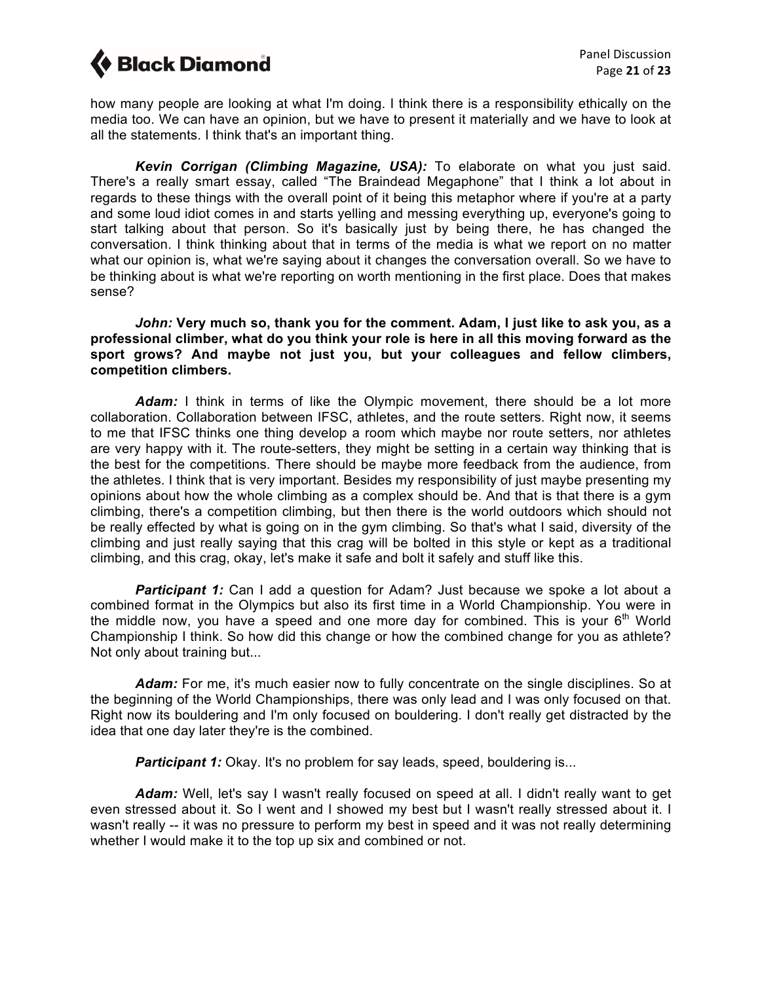how many people are looking at what I'm doing. I think there is a responsibility ethically on the media too. We can have an opinion, but we have to present it materially and we have to look at all the statements. I think that's an important thing.

*Kevin Corrigan (Climbing Magazine, USA):* To elaborate on what you just said. There's a really smart essay, called "The Braindead Megaphone" that I think a lot about in regards to these things with the overall point of it being this metaphor where if you're at a party and some loud idiot comes in and starts yelling and messing everything up, everyone's going to start talking about that person. So it's basically just by being there, he has changed the conversation. I think thinking about that in terms of the media is what we report on no matter what our opinion is, what we're saying about it changes the conversation overall. So we have to be thinking about is what we're reporting on worth mentioning in the first place. Does that makes sense?

*John:* **Very much so, thank you for the comment. Adam, I just like to ask you, as a professional climber, what do you think your role is here in all this moving forward as the sport grows? And maybe not just you, but your colleagues and fellow climbers, competition climbers.**

*Adam:* I think in terms of like the Olympic movement, there should be a lot more collaboration. Collaboration between IFSC, athletes, and the route setters. Right now, it seems to me that IFSC thinks one thing develop a room which maybe nor route setters, nor athletes are very happy with it. The route-setters, they might be setting in a certain way thinking that is the best for the competitions. There should be maybe more feedback from the audience, from the athletes. I think that is very important. Besides my responsibility of just maybe presenting my opinions about how the whole climbing as a complex should be. And that is that there is a gym climbing, there's a competition climbing, but then there is the world outdoors which should not be really effected by what is going on in the gym climbing. So that's what I said, diversity of the climbing and just really saying that this crag will be bolted in this style or kept as a traditional climbing, and this crag, okay, let's make it safe and bolt it safely and stuff like this.

**Participant 1:** Can I add a question for Adam? Just because we spoke a lot about a combined format in the Olympics but also its first time in a World Championship. You were in the middle now, you have a speed and one more day for combined. This is your  $6<sup>th</sup>$  World Championship I think. So how did this change or how the combined change for you as athlete? Not only about training but...

*Adam:* For me, it's much easier now to fully concentrate on the single disciplines. So at the beginning of the World Championships, there was only lead and I was only focused on that. Right now its bouldering and I'm only focused on bouldering. I don't really get distracted by the idea that one day later they're is the combined.

*Participant 1:* Okay. It's no problem for say leads, speed, bouldering is...

Adam: Well, let's say I wasn't really focused on speed at all. I didn't really want to get even stressed about it. So I went and I showed my best but I wasn't really stressed about it. I wasn't really -- it was no pressure to perform my best in speed and it was not really determining whether I would make it to the top up six and combined or not.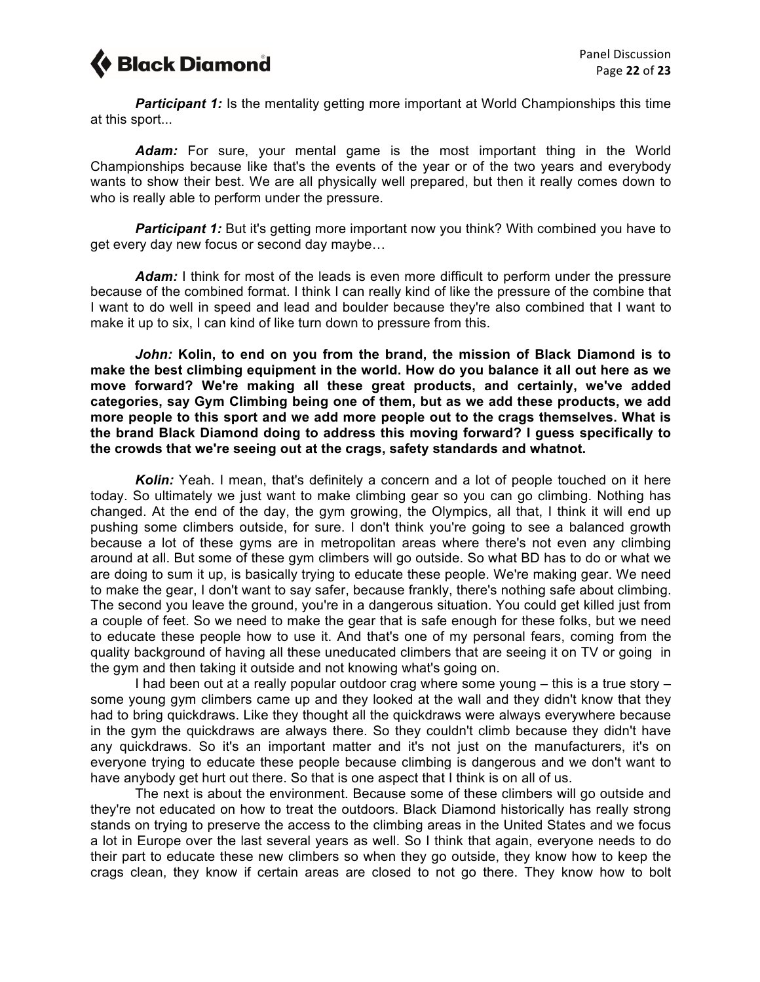

**Participant 1:** Is the mentality getting more important at World Championships this time at this sport...

*Adam:* For sure, your mental game is the most important thing in the World Championships because like that's the events of the year or of the two years and everybody wants to show their best. We are all physically well prepared, but then it really comes down to who is really able to perform under the pressure.

**Participant 1:** But it's getting more important now you think? With combined you have to get every day new focus or second day maybe…

Adam: I think for most of the leads is even more difficult to perform under the pressure because of the combined format. I think I can really kind of like the pressure of the combine that I want to do well in speed and lead and boulder because they're also combined that I want to make it up to six, I can kind of like turn down to pressure from this.

*John:* **Kolin, to end on you from the brand, the mission of Black Diamond is to make the best climbing equipment in the world. How do you balance it all out here as we move forward? We're making all these great products, and certainly, we've added categories, say Gym Climbing being one of them, but as we add these products, we add more people to this sport and we add more people out to the crags themselves. What is the brand Black Diamond doing to address this moving forward? I guess specifically to the crowds that we're seeing out at the crags, safety standards and whatnot.**

*Kolin:* Yeah. I mean, that's definitely a concern and a lot of people touched on it here today. So ultimately we just want to make climbing gear so you can go climbing. Nothing has changed. At the end of the day, the gym growing, the Olympics, all that, I think it will end up pushing some climbers outside, for sure. I don't think you're going to see a balanced growth because a lot of these gyms are in metropolitan areas where there's not even any climbing around at all. But some of these gym climbers will go outside. So what BD has to do or what we are doing to sum it up, is basically trying to educate these people. We're making gear. We need to make the gear, I don't want to say safer, because frankly, there's nothing safe about climbing. The second you leave the ground, you're in a dangerous situation. You could get killed just from a couple of feet. So we need to make the gear that is safe enough for these folks, but we need to educate these people how to use it. And that's one of my personal fears, coming from the quality background of having all these uneducated climbers that are seeing it on TV or going in the gym and then taking it outside and not knowing what's going on.

I had been out at a really popular outdoor crag where some young – this is a true story – some young gym climbers came up and they looked at the wall and they didn't know that they had to bring quickdraws. Like they thought all the quickdraws were always everywhere because in the gym the quickdraws are always there. So they couldn't climb because they didn't have any quickdraws. So it's an important matter and it's not just on the manufacturers, it's on everyone trying to educate these people because climbing is dangerous and we don't want to have anybody get hurt out there. So that is one aspect that I think is on all of us.

The next is about the environment. Because some of these climbers will go outside and they're not educated on how to treat the outdoors. Black Diamond historically has really strong stands on trying to preserve the access to the climbing areas in the United States and we focus a lot in Europe over the last several years as well. So I think that again, everyone needs to do their part to educate these new climbers so when they go outside, they know how to keep the crags clean, they know if certain areas are closed to not go there. They know how to bolt